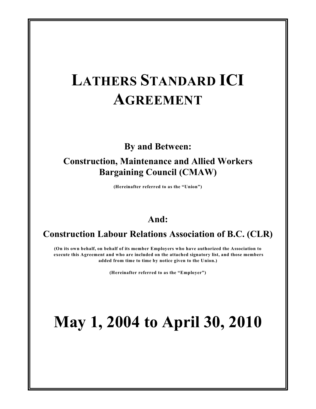# **LATHERS STANDARD ICI AGREEMENT**

# **By and Between:**

# **Construction, Maintenance and Allied Workers Bargaining Council (CMAW)**

**(Hereinafter referred to as the "Union")**

# **And:**

# **Construction Labour Relations Association of B.C. (CLR)**

**(On its own behalf, on behalf of its member Employers who have authorized the Association to execute this Agreement and who are included on the attached signatory list, and those members added from time to time by notice given to the Union.)**

**(Hereinafter referred to as the "Employer")**

# **May 1, 2004 to April 30, 2010**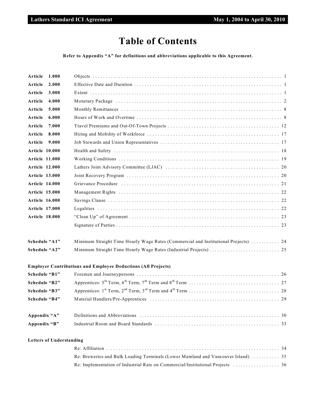# **Table of Contents**

**Refer to Appendix "A" for definitions and abbreviations applicable to this Agreement.**

| Article               | 1.000 |                                                                                                                                                                                                                                |
|-----------------------|-------|--------------------------------------------------------------------------------------------------------------------------------------------------------------------------------------------------------------------------------|
| Article               | 2.000 |                                                                                                                                                                                                                                |
| Article               | 3.000 |                                                                                                                                                                                                                                |
| Article               | 4.000 | Monetary Package (a) resources in the contract of the contract of the contract of the contract of the contract of the contract of the contract of the contract of the contract of the contract of the contract of the contract |
| Article               | 5.000 |                                                                                                                                                                                                                                |
| Article               | 6.000 |                                                                                                                                                                                                                                |
| Article               | 7.000 |                                                                                                                                                                                                                                |
| Article               | 8.000 |                                                                                                                                                                                                                                |
| Article               | 9.000 |                                                                                                                                                                                                                                |
| Article 10.000        |       |                                                                                                                                                                                                                                |
| <b>Article 11.000</b> |       |                                                                                                                                                                                                                                |
| <b>Article 12.000</b> |       |                                                                                                                                                                                                                                |
| <b>Article 13.000</b> |       |                                                                                                                                                                                                                                |
| <b>Article 14.000</b> |       | Grievance Procedure (and according to the control of the control of the control of the control of the control of the control of the control of the control of the control of the control of the control of the control of the  |
| <b>Article 15.000</b> |       |                                                                                                                                                                                                                                |
| <b>Article 16.000</b> |       |                                                                                                                                                                                                                                |
| <b>Article 17.000</b> |       |                                                                                                                                                                                                                                |
| <b>Article 18.000</b> |       |                                                                                                                                                                                                                                |
|                       |       |                                                                                                                                                                                                                                |
| Schedule "A1"         |       | Minimum Straight Time Hourly Wage Rates (Commercial and Institutional Projects)  24                                                                                                                                            |
| Schedule "A2"         |       |                                                                                                                                                                                                                                |
|                       |       | <b>Employer Contributions and Employee Deductions (All Projects)</b>                                                                                                                                                           |
| Schedule "B1"         |       |                                                                                                                                                                                                                                |
| Schedule "B2"         |       |                                                                                                                                                                                                                                |
| Schedule "B3"         |       |                                                                                                                                                                                                                                |
| Schedule "B4"         |       |                                                                                                                                                                                                                                |
| Appendix "A"          |       |                                                                                                                                                                                                                                |
| Appendix "B"          |       |                                                                                                                                                                                                                                |

# **Letters of Understanding**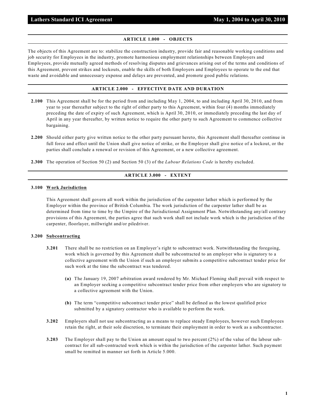# **ARTICLE 1.000 - OBJECTS**

The objects of this Agreement are to: stabilize the construction industry, provide fair and reasonable working conditions and job security for Employees in the industry, promote harmonious employment relationships between Employers and Employees, provide mutually agreed methods of resolving disputes and grievances arising out of the terms and conditions of this Agreement, prevent strikes and lockouts, enable the skills of both Employers and Employees to operate to the end that waste and avoidable and unnecessary expense and delays are prevented, and promote good public relations.

# **ARTICLE 2.000 - EFFECTIVE DATE AND DURATION**

- **2.100** This Agreement shall be for the period from and including May 1, 2004, to and including April 30, 2010, and from year to year thereafter subject to the right of either party to this Agreement, within four (4) months immediately preceding the date of expiry of such Agreement, which is April 30, 2010, or immediately preceding the last day of April in any year thereafter, by written notice to require the other party to such Agreement to commence collective bargaining.
- **2.200** Should either party give written notice to the other party pursuant hereto, this Agreement shall thereafter continue in full force and effect until the Union shall give notice of strike, or the Employer shall give notice of a lockout, or the parties shall conclude a renewal or revision of this Agreement, or a new collective agreement.
- **2.300** The operation of Section 50 (2) and Section 50 (3) of the *Labour Relations Code* is hereby excluded.

# **ARTICLE 3.000 - EXTENT**

#### **3.100 Work Jurisdiction**

This Agreement shall govern all work within the jurisdiction of the carpenter lather which is performed by the Employer within the province of British Columbia. The work jurisdiction of the carpenter lather shall be as determined from time to time by the Umpire of the Jurisdictional Assignment Plan. Notwithstanding any/all contrary provisions of this Agreement, the parties agree that such work shall not include work which is the jurisdiction of the carpenter, floorlayer, millwright and/or piledriver.

# **3.200 Subcontracting**

- **3.201** There shall be no restriction on an Employer's right to subcontract work. Notwithstanding the foregoing, work which is governed by this Agreement shall be subcontracted to an employer who is signatory to a collective agreement with the Union if such an employer submits a competitive subcontract tender price for such work at the time the subcontract was tendered.
	- **(a)** The January 19, 2007 arbitration award rendered by Mr. Michael Fleming shall prevail with respect to an Employer seeking a competitive subcontract tender price from other employers who are signatory to a collective agreement with the Union.
	- **(b)** The term "competitive subcontract tender price" shall be defined as the lowest qualified price submitted by a signatory contractor who is available to perform the work.
- **3.202** Employers shall not use subcontracting as a means to replace steady Employees, however such Employees retain the right, at their sole discretion, to terminate their employment in order to work as a subcontractor.
- **3.203** The Employer shall pay to the Union an amount equal to two percent (2%) of the value of the labour subcontract for all sub-contracted work which is within the jurisdiction of the carpenter lather. Such payment small be remitted in manner set forth in Article 5.000.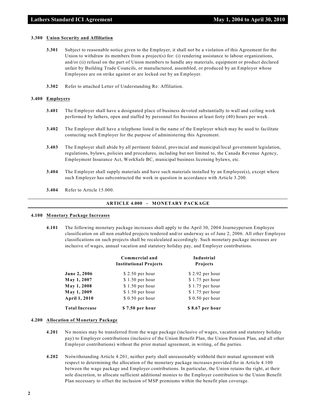#### **3.300 Union Security and Affiliation**

- **3.301** Subject to reasonable notice given to the Employer, it shall not be a violation of this Agreement for the Union to withdraw its members from a project(s) for: (i) rendering assistance to labour organizations, and/or (ii) refusal on the part of Union members to handle any materials, equipment or product declared unfair by Building Trade Councils, or manufactured, assembled, or produced by an Employer whose Employees are on strike against or are locked out by an Employer.
- **3.302** Refer to attached Letter of Understanding Re: Affiliation.

#### **3.400 Employers**

- **3.401** The Employer shall have a designated place of business devoted substantially to wall and ceiling work performed by lathers, open and staffed by personnel for business at least forty (40) hours per week.
- **3.402** The Employer shall have a telephone listed in the name of the Employer which may be used to facilitate contacting such Employer for the purpose of administering this Agreement.
- **3.403** The Employer shall abide by all pertinent federal, provincial and municipal/local government legislation, regulations, bylaws, policies and procedures, including but not limited to, the Canada Revenue Agency, Employment Insurance Act, WorkSafe BC, municipal business licensing bylaws, etc.
- **3.404** The Employer shall supply materials and have such materials installed by an Employee(s), except where such Employer has subcontracted the work in question in accordance with Article 3.200.
- **3.404** Refer to Article 15.000.

#### **ARTICLE 4.000 - MONETARY PACKAGE**

#### **4.100 Monetary Package Increases**

**4.101** The following monetary package increases shall apply to the April 30, 2004 Journeyperson Employee classification on all non enabled projects tendered and/or underway as of June 2, 2006. All other Employee classifications on such projects shall be recalculated accordingly. Such monetary package increases are inclusive of wages, annual vacation and statutory holiday pay, and Employer contributions.

|                       | Commercial and<br><b>Institutional Projects</b> | Industrial<br><b>Projects</b> |  |  |
|-----------------------|-------------------------------------------------|-------------------------------|--|--|
| <b>June 2, 2006</b>   | $$2.50$ per hour                                | $$2.92$ per hour              |  |  |
| May 1, 2007           | $$1.50$ per hour                                | $$1.75$ per hour              |  |  |
| May 1, 2008           | $$1.50$ per hour                                | $$1.75$ per hour              |  |  |
| May 1, 2009           | $$1.50$ per hour                                | $$1.75$ per hour              |  |  |
| April 1, 2010         | $$0.50$ per hour                                | $$0.50$ per hour              |  |  |
| <b>Total Increase</b> | \$7.50 per hour                                 | \$8.67 per hour               |  |  |

#### **4.200 Allocation of Monetary Package**

- **4.201** No monies may be transferred from the wage package (inclusive of wages, vacation and statutory holiday pay) to Employer contributions (inclusive of the Union Benefit Plan, the Union Pension Plan, and all other Employer contributions) without the prior mutual agreement, in writing, of the parties.
- **4.202** Notwithstanding Article 4.201, neither party shall unreasonably withhold their mutual agreement with respect to determining the allocation of the monetary package increases provided for in Article 4.100 between the wage package and Employer contributions. In particular, the Union retains the right, at their sole discretion, to allocate sufficient additional monies to the Employer contribution to the Union Benefit Plan necessary to offset the inclusion of MSP premiums within the benefit plan coverage.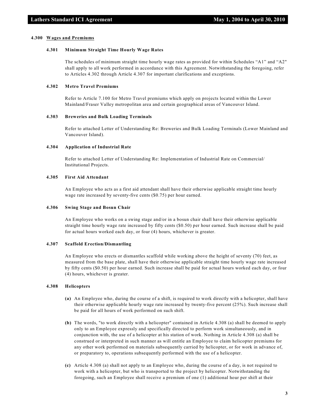#### **4.300 Wages and Premiums**

#### **4.301 Minimum Straight Time Hourly Wage Rates**

The schedules of minimum straight time hourly wage rates as provided for within Schedules "A1" and "A2" shall apply to all work performed in accordance with this Agreement. Notwithstanding the foregoing, refer to Articles 4.302 through Article 4.307 for important clarifications and exceptions.

#### **4.302 Metro Travel Premiums**

Refer to Article 7.100 for Metro Travel premiums which apply on projects located within the Lower Mainland/Fraser Valley metropolitan area and certain geographical areas of Vancouver Island.

#### **4.303 Breweries and Bulk Loading Terminals**

Refer to attached Letter of Understanding Re: Breweries and Bulk Loading Terminals (Lower Mainland and Vancouver Island).

#### **4.304 Application of Industrial Rate**

Refer to attached Letter of Understanding Re: Implementation of Industrial Rate on Commercial/ Institutional Projects.

#### **4.305 First Aid Attendant**

An Employee who acts as a first aid attendant shall have their otherwise applicable straight time hourly wage rate increased by seventy-five cents (\$0.75) per hour earned.

#### **4.306 Swing Stage and Bosun Chair**

An Employee who works on a swing stage and/or in a bosun chair shall have their otherwise applicable straight time hourly wage rate increased by fifty cents (\$0.50) per hour earned. Such increase shall be paid for actual hours worked each day, or four (4) hours, whichever is greater.

#### **4.307 Scaffold Erection/Dismantling**

An Employee who erects or dismantles scaffold while working above the height of seventy (70) feet, as measured from the base plate, shall have their otherwise applicable straight time hourly wage rate increased by fifty cents (\$0.50) per hour earned. Such increase shall be paid for actual hours worked each day, or four (4) hours, whichever is greater.

# **4.308 Helicopters**

- **(a)** An Employee who, during the course of a shift, is required to work directly with a helicopter, shall have their otherwise applicable hourly wage rate increased by twenty-five percent (25%). Such increase shall be paid for all hours of work performed on such shift.
- **(b)** The words, "to work directly with a helicopter" contained in Article 4.308 (a) shall be deemed to apply only to an Employee expressly and specifically directed to perform work simultaneously, and in conjunction with, the use of a helicopter at his station of work. Nothing in Article 4.308 (a) shall be construed or interpreted in such manner as will entitle an Employee to claim helicopter premiums for any other work performed on materials subsequently carried by helicopter, or for work in advance of, or preparatory to, operations subsequently performed with the use of a helicopter.
- **(c)** Article 4.308 (a) shall not apply to an Employee who, during the course of a day, is not required to work with a helicopter, but who is transported to the project by helicopter. Notwithstanding the foregoing, such an Employee shall receive a premium of one (1) additional hour per shift at their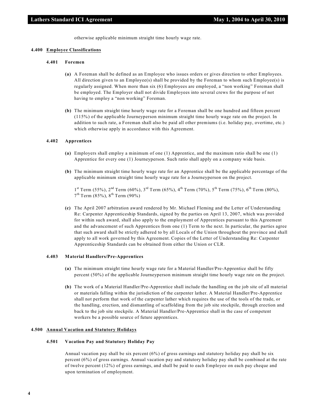otherwise applicable minimum straight time hourly wage rate.

#### **4.400 Employee Classifications**

# **4.401 Foremen**

- **(a)** A Foreman shall be defined as an Employee who issues orders or gives direction to other Employees. All direction given to an Employee(s) shall be provided by the Foreman to whom such Employee(s) is regularly assigned. When more than six (6) Employees are employed, a "non working" Foreman shall be employed. The Employer shall not divide Employees into several crews for the purpose of not having to employ a "non working" Foreman.
- **(b)** The minimum straight time hourly wage rate for a Foreman shall be one hundred and fifteen percent (115%) of the applicable Journeyperson minimum straight time hourly wage rate on the project. In addition to such rate, a Foreman shall also be paid all other premiums (i.e. holiday pay, overtime, etc.) which otherwise apply in accordance with this Agreement.

#### **4.402 Apprentices**

- **(a)** Employers shall employ a minimum of one (1) Apprentice, and the maximum ratio shall be one (1) Apprentice for every one (1) Journeyperson. Such ratio shall apply on a company wide basis.
- **(b)** The minimum straight time hourly wage rate for an Apprentice shall be the applicable percentage of the applicable minimum straight time hourly wage rate for a Journeyperson on the project.

 $1<sup>st</sup> Term (55%), 2<sup>nd</sup> Term (60%), 3<sup>rd</sup> Term (65%), 4<sup>th</sup> Term (70%), 5<sup>th</sup> Term (75%), 6<sup>th</sup> Term (80%),$  $7<sup>th</sup> Term (85%)$ ,  $8<sup>th</sup> Term (90%)$ 

**(c)** The April 2007 arbitration award rendered by Mr. Michael Fleming and the Letter of Understanding Re: Carpenter Apprenticeship Standards, signed by the parties on April 13, 2007, which was provided for within such award, shall also apply to the employment of Apprentices pursuant to this Agreement and the advancement of such Apprentices from one (1) Term to the next. In particular, the parties agree that such award shall be strictly adhered to by all Locals of the Union throughout the province and shall apply to all work governed by this Agreement. Copies of the Letter of Understanding Re: Carpenter Apprenticeship Standards can be obtained from either the Union or CLR.

#### **4.403 Material Handlers/Pre-Apprentices**

- **(a)** The minimum straight time hourly wage rate for a Material Handler/Pre-Apprentice shall be fifty percent (50%) of the applicable Journeyperson minimum straight time hourly wage rate on the project.
- **(b)** The work of a Material Handler/Pre-Apprentice shall include the handling on the job site of all material or materials falling within the jurisdiction of the carpenter lather. A Material Handler/Pre-Apprentice shall not perform that work of the carpenter lather which requires the use of the tools of the trade, or the handling, erection, and dismantling of scaffolding from the job site stockpile, through erection and back to the job site stockpile. A Material Handler/Pre-Apprentice shall in the case of competent workers be a possible source of future apprentices.

#### **4.500 Annual Vacation and Statutory Holidays**

#### **4.501 Vacation Pay and Statutory Holiday Pay**

Annual vacation pay shall be six percent (6%) of gross earnings and statutory holiday pay shall be six percent (6%) of gross earnings. Annual vacation pay and statutory holiday pay shall be combined at the rate of twelve percent (12%) of gross earnings, and shall be paid to each Employee on each pay cheque and upon termination of employment.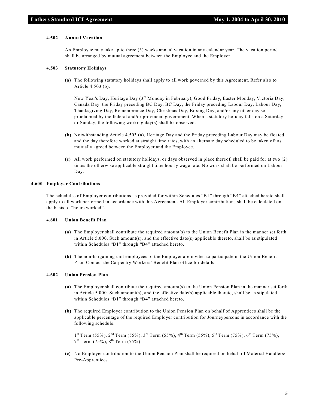#### **4.502 Annual Vacation**

An Employee may take up to three (3) weeks annual vacation in any calendar year. The vacation period shall be arranged by mutual agreement between the Employee and the Employer.

#### **4.503 Statutory Holidays**

**(a)** The following statutory holidays shall apply to all work governed by this Agreement. Refer also to Article 4.503 (b).

New Year's Day, Heritage Day  $(3^{rd}$  Monday in February), Good Friday, Easter Monday, Victoria Day, Canada Day, the Friday preceding BC Day, BC Day, the Friday preceding Labour Day, Labour Day, Thanksgiving Day, Remembrance Day, Christmas Day, Boxing Day, and/or any other day so proclaimed by the federal and/or provincial government. When a statutory holiday falls on a Saturday or Sunday, the following working day(s) shall be observed.

- **(b)** Notwithstanding Article 4.503 (a), Heritage Day and the Friday preceding Labour Day may be floated and the day therefore worked at straight time rates, with an alternate day scheduled to be taken off as mutually agreed between the Employer and the Employee.
- **(c)** All work performed on statutory holidays, or days observed in place thereof, shall be paid for at two (2) times the otherwise applicable straight time hourly wage rate. No work shall be performed on Labour Day.

#### **4.600 Employer Contributions**

The schedules of Employer contributions as provided for within Schedules "B1" through "B4" attached hereto shall apply to all work performed in accordance with this Agreement. All Employer contributions shall be calculated on the basis of "hours worked".

#### **4.601 Union Benefit Plan**

- **(a)** The Employer shall contribute the required amount(s) to the Union Benefit Plan in the manner set forth in Article 5.000. Such amount(s), and the effective date(s) applicable thereto, shall be as stipulated within Schedules "B1" through "B4" attached hereto.
- **(b)** The non-bargaining unit employees of the Employer are invited to participate in the Union Benefit Plan. Contact the Carpentry Workers' Benefit Plan office for details.

#### **4.602 Union Pension Plan**

- **(a)** The Employer shall contribute the required amount(s) to the Union Pension Plan in the manner set forth in Article 5.000. Such amount(s), and the effective date(s) applicable thereto, shall be as stipulated within Schedules "B1" through "B4" attached hereto.
- **(b)** The required Employer contribution to the Union Pension Plan on behalf of Apprentices shall be the applicable percentage of the required Employer contribution for Journeypersons in accordance with the following schedule.

 $1<sup>st</sup> Term (55%), 2<sup>nd</sup> Term (55%), 3<sup>rd</sup> Term (55%), 4<sup>th</sup> Term (55%), 5<sup>th</sup> Term (75%), 6<sup>th</sup> Term (75%),$  $7^{\text{th}}$  Term (75%),  $8^{\text{th}}$  Term (75%)

**(c)** No Employer contribution to the Union Pension Plan shall be required on behalf of Material Handlers/ Pre-Apprentices.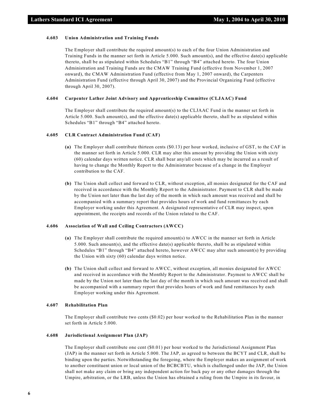#### **4.603 Union Administration and Training Funds**

The Employer shall contribute the required amount(s) to each of the four Union Administration and Training Funds in the manner set forth in Article 5.000. Such amount(s), and the effective date(s) applicable thereto, shall be as stipulated within Schedules "B1" through "B4" attached hereto. The four Union Administration and Training Funds are the CMAW Training Fund (effective from November 1, 2007 onward), the CMAW Administration Fund (effective from May 1, 2007 onward), the Carpenters Administration Fund (effective through April 30, 2007) and the Provincial Organizing Fund (effective through April 30, 2007).

#### **4.604 Carpenter Lather Joint Advisory and Apprenticeship Committee (CLJAAC) Fund**

The Employer shall contribute the required amount(s) to the CLJAAC Fund in the manner set forth in Article 5.000. Such amount(s), and the effective date(s) applicable thereto, shall be as stipulated within Schedules "B1" through "B4" attached hereto.

#### **4.605 CLR Contract Administration Fund (CAF)**

- **(a)** The Employer shall contribute thirteen cents (\$0.13) per hour worked, inclusive of GST, to the CAF in the manner set forth in Article 5.000. CLR may alter this amount by providing the Union with sixty (60) calendar days written notice. CLR shall bear any/all costs which may be incurred as a result of having to change the Monthly Report to the Administrator because of a change in the Employer contribution to the CAF.
- **(b)** The Union shall collect and forward to CLR, without exception, all monies designated for the CAF and received in accordance with the Monthly Report to the Administrator. Payment to CLR shall be made by the Union not later than the last day of the month in which such amount was received and shall be accompanied with a summary report that provides hours of work and fund remittances by each Employer working under this Agreement. A designated representative of CLR may inspect, upon appointment, the receipts and records of the Union related to the CAF.

#### **4.606 Association of Wall and Ceiling Contractors (AWCC)**

- **(a)** The Employer shall contribute the required amount(s) to AWCC in the manner set forth in Article 5.000. Such amount(s), and the effective date(s) applicable thereto, shall be as stipulated within Schedules "B1" through "B4" attached hereto, however AWCC may alter such amount(s) by providing the Union with sixty (60) calendar days written notice.
- **(b)** The Union shall collect and forward to AWCC, without exception, all monies designated for AWCC and received in accordance with the Monthly Report to the Administrator. Payment to AWCC shall be made by the Union not later than the last day of the month in which such amount was received and shall be accompanied with a summary report that provides hours of work and fund remittances by each Employer working under this Agreement.

#### **4.607 Rehabilitation Plan**

The Employer shall contribute two cents (\$0.02) per hour worked to the Rehabilitation Plan in the manner set forth in Article 5.000.

# **4.608 Jurisdictional Assignment Plan (JAP)**

The Employer shall contribute one cent (\$0.01) per hour worked to the Jurisdictional Assignment Plan (JAP) in the manner set forth in Article 5.000. The JAP, as agreed to between the BCYT and CLR, shall be binding upon the parties. Notwithstanding the foregoing, where the Employer makes an assignment of work to another constituent union or local union of the BCBCBTU, which is challenged under the JAP, the Union shall not make any claim or bring any independent action for back pay or any other damages through the Umpire, arbitration, or the LRB, unless the Union has obtained a ruling from the Umpire in its favour, in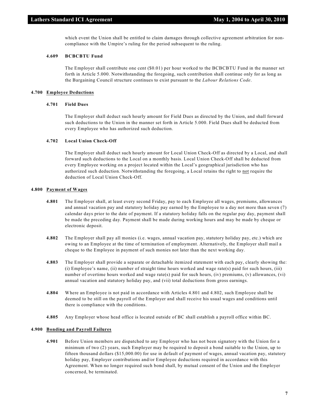which event the Union shall be entitled to claim damages through collective agreement arbitration for noncompliance with the Umpire's ruling for the period subsequent to the ruling.

# **4.609 BCBCBTU Fund**

The Employer shall contribute one cent (\$0.01) per hour worked to the BCBCBTU Fund in the manner set forth in Article 5.000. Notwithstanding the foregoing, such contribution shall continue only for as long as the Bargaining Council structure continues to exist pursuant to the *Labour Relations Code*.

#### **4.700 Employee Deductions**

# **4.701 Field Dues**

The Employer shall deduct such hourly amount for Field Dues as directed by the Union, and shall forward such deductions to the Union in the manner set forth in Article 5.000. Field Dues shall be deducted from every Employee who has authorized such deduction.

# **4.702 Local Union Check-Off**

The Employer shall deduct such hourly amount for Local Union Check-Off as directed by a Local, and shall forward such deductions to the Local on a monthly basis. Local Union Check-Off shall be deducted from every Employee working on a project located within the Local's geographical jurisdiction who has authorized such deduction. Notwithstanding the foregoing, a Local retains the right to not require the deduction of Local Union Check-Off.

#### **4.800 Payment of Wages**

- **4.801** The Employer shall, at least every second Friday, pay to each Employee all wages, premiums, allowances and annual vacation pay and statutory holiday pay earned by the Employee to a day not more than seven (7) calendar days prior to the date of payment. If a statutory holiday falls on the regular pay day, payment shall be made the preceding day. Payment shall be made during working hours and may be made by cheque or electronic deposit.
- **4.802** The Employer shall pay all monies (i.e. wages, annual vacation pay, statutory holiday pay, etc.) which are owing to an Employee at the time of termination of employment. Alternatively, the Employer shall mail a cheque to the Employee in payment of such monies not later than the next working day.
- **4.803** The Employer shall provide a separate or detachable itemized statement with each pay, clearly showing the: (i) Employee's name, (ii) number of straight time hours worked and wage rate(s) paid for such hours, (iii) number of overtime hours worked and wage rate(s) paid for such hours, (iv) premiums, (v) allowances, (vi) annual vacation and statutory holiday pay, and (vii) total deductions from gross earnings.
- **4.804** Where an Employee is not paid in accordance with Articles 4.801 and 4.802, such Employee shall be deemed to be still on the payroll of the Employer and shall receive his usual wages and conditions until there is compliance with the conditions.
- **4.805** Any Employer whose head office is located outside of BC shall establish a payroll office within BC.

#### **4.900 Bonding and Payroll Failures**

**4.901** Before Union members are dispatched to any Employer who has not been signatory with the Union for a minimum of two (2) years, such Employer may be required to deposit a bond suitable to the Union, up to fifteen thousand dollars (\$15,000.00) for use in default of payment of wages, annual vacation pay, statutory holiday pay, Employer contributions and/or Employee deductions required in accordance with this Agreement. When no longer required such bond shall, by mutual consent of the Union and the Employer concerned, be terminated.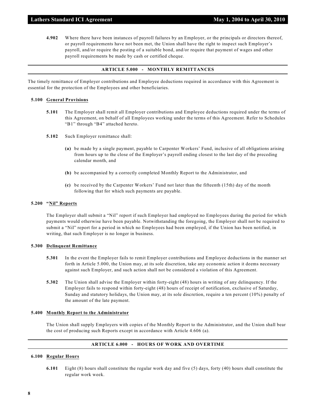**4.902** Where there have been instances of payroll failures by an Employer, or the principals or directors thereof, or payroll requirements have not been met, the Union shall have the right to inspect such Employer's payroll, and/or require the posting of a suitable bond, and/or require that payment of wages and other payroll requirements be made by cash or certified cheque.

## **ARTICLE 5.000 - MONTHLY REMITTANCES**

The timely remittance of Employer contributions and Employee deductions required in accordance with this Agreement is essential for the protection of the Employees and other beneficiaries.

#### **5.100 General Provisions**

- **5.101** The Employer shall remit all Employer contributions and Employee deductions required under the terms of this Agreement, on behalf of all Employees working under the terms of this Agreement. Refer to Schedules "B1" through "B4" attached hereto.
- **5.102** Such Employer remittance shall:
	- **(a)** be made by a single payment, payable to Carpenter Workers' Fund, inclusive of all obligations arising from hours up to the close of the Employer's payroll ending closest to the last day of the preceding calendar month, and
	- **(b)** be accompanied by a correctly completed Monthly Report to the Administrator, and
	- **(c)** be received by the Carpenter Workers' Fund not later than the fifteenth (15th) day of the month following that for which such payments are payable.

#### **5.200 "Nil" Reports**

The Employer shall submit a "Nil" report if such Employer had employed no Employees during the period for which payments would otherwise have been payable. Notwithstanding the foregoing, the Employer shall not be required to submit a "Nil" report for a period in which no Employees had been employed, if the Union has been notified, in writing, that such Employer is no longer in business.

#### **5.300 Delinquent Remittance**

- **5.301** In the event the Employer fails to remit Employer contributions and Employee deductions in the manner set forth in Article 5.000, the Union may, at its sole discretion, take any economic action it deems necessary against such Employer, and such action shall not be considered a violation of this Agreement.
- **5.302** The Union shall advise the Employer within forty-eight (48) hours in writing of any delinquency. If the Employer fails to respond within forty-eight (48) hours of receipt of notification, exclusive of Saturday, Sunday and statutory holidays, the Union may, at its sole discretion, require a ten percent (10%) penalty of the amount of the late payment.

#### **5.400 Monthly Report to the Administrator**

The Union shall supply Employers with copies of the Monthly Report to the Administrator, and the Union shall bear the cost of producing such Reports except in accordance with Article 4.606 (a).

# **ARTICLE 6.000 - HOURS OF WORK AND OVERTIME**

#### **6.100 Regular Hours**

**6.101** Eight (8) hours shall constitute the regular work day and five (5) days, forty (40) hours shall constitute the regular work week.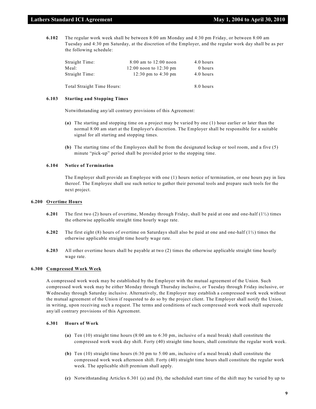**6.102** The regular work week shall be between 8:00 am Monday and 4:30 pm Friday, or between 8:00 am Tuesday and 4:30 pm Saturday, at the discretion of the Employer, and the regular work day shall be as per the following schedule:

| Straight Time:             | $8:00$ am to $12:00$ noon  | 4.0 hours |
|----------------------------|----------------------------|-----------|
| Meal:                      | $12:00$ noon to $12:30$ pm | 0 hours   |
| Straight Time:             | 12:30 pm to $4:30$ pm      | 4.0 hours |
| Total Straight Time Hours: |                            | 8.0 hours |

#### **6.103 Starting and Stopping Times**

Notwithstanding any/all contrary provisions of this Agreement:

- **(a)** The starting and stopping time on a project may be varied by one (1) hour earlier or later than the normal 8:00 am start at the Employer's discretion. The Employer shall be responsible for a suitable signal for all starting and stopping times.
- **(b)** The starting time of the Employees shall be from the designated lockup or tool room, and a five (5) minute "pick-up" period shall be provided prior to the stopping time.

# **6.104 Notice of Termination**

The Employer shall provide an Employee with one (1) hours notice of termination, or one hours pay in lieu thereof. The Employee shall use such notice to gather their personal tools and prepare such tools for the next project.

#### **6.200 Overtime Hours**

- **6.201** The first two (2) hours of overtime, Monday through Friday, shall be paid at one and one-half  $(1/2)$  times the otherwise applicable straight time hourly wage rate.
- **6.202** The first eight (8) hours of overtime on Saturdays shall also be paid at one and one-half (1½) times the otherwise applicable straight time hourly wage rate.
- **6.203** All other overtime hours shall be payable at two (2) times the otherwise applicable straight time hourly wage rate.

# **6.300 Compressed Work Week**

A compressed work week may be established by the Employer with the mutual agreement of the Union. Such compressed work week may be either Monday through Thursday inclusive, or Tuesday through Friday inclusive, or Wednesday through Saturday inclusive. Alternatively, the Employer may establish a compressed work week without the mutual agreement of the Union if requested to do so by the project client. The Employer shall notify the Union, in writing, upon receiving such a request. The terms and conditions of such compressed work week shall supercede any/all contrary provisions of this Agreement.

# **6.301 Hours of Work**

- **(a)** Ten (10) straight time hours (8:00 am to 6:30 pm, inclusive of a meal break) shall constitute the compressed work week day shift. Forty (40) straight time hours, shall constitute the regular work week.
- **(b)** Ten (10) straight time hours (6:30 pm to 5:00 am, inclusive of a meal break) shall constitute the compressed work week afternoon shift. Forty (40) straight time hours shall constitute the regular work week. The applicable shift premium shall apply.
- **(c)** Notwithstanding Articles 6.301 (a) and (b), the scheduled start time of the shift may be varied by up to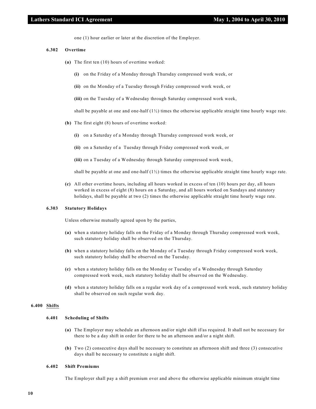one (1) hour earlier or later at the discretion of the Employer.

# **6.302 Overtime**

- **(a)** The first ten (10) hours of overtime worked:
	- **(i)** on the Friday of a Monday through Thursday compressed work week, or
	- **(ii)** on the Monday of a Tuesday through Friday compressed work week, or
	- **(iii)** on the Tuesday of a Wednesday through Saturday compressed work week,

shall be payable at one and one-half  $(1/2)$  times the otherwise applicable straight time hourly wage rate.

- **(b)** The first eight (8) hours of overtime worked:
	- **(i)** on a Saturday of a Monday through Thursday compressed work week, or
	- **(ii)** on a Saturday of a Tuesday through Friday compressed work week, or
	- **(iii)** on a Tuesday of a Wednesday through Saturday compressed work week,

shall be payable at one and one-half  $(1/2)$  times the otherwise applicable straight time hourly wage rate.

**(c)** All other overtime hours, including all hours worked in excess of ten (10) hours per day, all hours worked in excess of eight (8) hours on a Saturday, and all hours worked on Sundays and statutory holidays, shall be payable at two (2) times the otherwise applicable straight time hourly wage rate.

#### **6.303 Statutory Holidays**

Unless otherwise mutually agreed upon by the parties,

- **(a)** when a statutory holiday falls on the Friday of a Monday through Thursday compressed work week, such statutory holiday shall be observed on the Thursday.
- **(b)** when a statutory holiday falls on the Monday of a Tuesday through Friday compressed work week, such statutory holiday shall be observed on the Tuesday.
- **(c)** when a statutory holiday falls on the Monday or Tuesday of a Wednesday through Saturday compressed work week, such statutory holiday shall be observed on the Wednesday.
- **(d)** when a statutory holiday falls on a regular work day of a compressed work week, such statutory holiday shall be observed on such regular work day.

# **6.400 Shifts**

# **6.401 Scheduling of Shifts**

- **(a)** The Employer may schedule an afternoon and/or night shift if/as required. It shall not be necessary for there to be a day shift in order for there to be an afternoon and/or a night shift.
- **(b)** Two (2) consecutive days shall be necessary to constitute an afternoon shift and three (3) consecutive days shall be necessary to constitute a night shift.

#### **6.402 Shift Premiums**

The Employer shall pay a shift premium over and above the otherwise applicable minimum straight time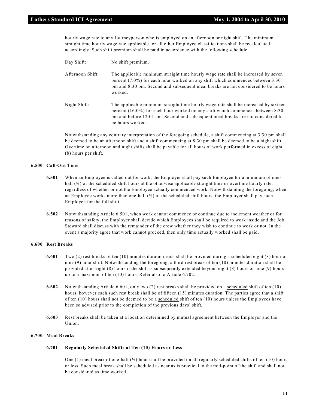hourly wage rate to any Journeyperson who is employed on an afternoon or night shift. The minimum straight time hourly wage rate applicable for all other Employee classifications shall be recalculated accordingly. Such shift premium shall be paid in accordance with the following schedule.

- Day Shift: No shift premium.
- Afternoon Shift: The applicable minimum straight time hourly wage rate shall be increased by seven percent (7.0%) for each hour worked on any shift which commences between 3:30 pm and 8:30 pm. Second and subsequent meal breaks are not considered to be hours worked.
- Night Shift: The applicable minimum straight time hourly wage rate shall be increased by sixteen percent (16.0%) for each hour worked on any shift which commences between 8:30 pm and before 12:01 am. Second and subsequent meal breaks are not considered to be hours worked.

Notwithstanding any contrary interpretation of the foregoing schedule, a shift commencing at 3:30 pm shall be deemed to be an afternoon shift and a shift commencing at 8:30 pm shall be deemed to be a night shift. Overtime on afternoon and night shifts shall be payable for all hours of work performed in excess of eight (8) hours per shift.

# **6.500 Call-Out Time**

- **6.501** When an Employee is called out for work, the Employer shall pay such Employee for a minimum of onehalf  $(\frac{1}{2})$  of the scheduled shift hours at the otherwise applicable straight time or overtime hourly rate, regardless of whether or not the Employee actually commenced work. Notwithstanding the foregoing, when an Employee works more than one-half  $\binom{1}{2}$  of the scheduled shift hours, the Employer shall pay such Employee for the full shift.
- **6.502** Notwithstanding Article 6.501, when work cannot commence or continue due to inclement weather or for reasons of safety, the Employer shall decide which Employees shall be required to work inside and the Job Steward shall discuss with the remainder of the crew whether they wish to continue to work or not. In the event a majority agree that work cannot proceed, then only time actually worked shall be paid.

#### **6.600 Rest Breaks**

- **6.601** Two (2) rest breaks of ten (10) minutes duration each shall be provided during a scheduled eight (8) hour or nine (9) hour shift. Notwithstanding the foregoing, a third rest break of ten (10) minutes duration shall be provided after eight (8) hours if the shift is subsequently extended beyond eight (8) hours or nine (9) hours up to a maximum of ten (10) hours. Refer also to Article 6.702.
- **6.602** Notwithstanding Article 6.601, only two (2) rest breaks shall be provided on a scheduled shift of ten (10) hours, however each such rest break shall be of fifteen (15) minutes duration. The parties agree that a shift of ten (10) hours shall not be deemed to be a scheduled shift of ten (10) hours unless the Employees have been so advised prior to the completion of the previous days' shift.
- **6.603** Rest breaks shall be taken at a location determined by mutual agreement between the Employer and the Union.

# **6.700 Meal Breaks**

#### **6.701 Regularly Scheduled Shifts of Ten (10) Hours or Less**

One (1) meal break of one-half  $\binom{1}{2}$  hour shall be provided on all regularly scheduled shifts of ten (10) hours or less. Such meal break shall be scheduled as near as is practical to the mid-point of the shift and shall not be considered as time worked.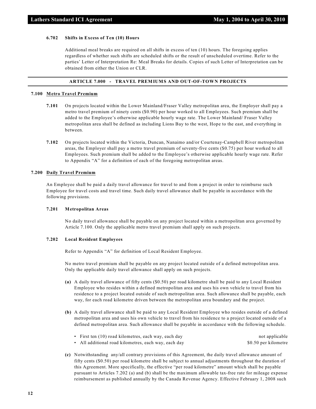#### **6.702 Shifts in Excess of Ten (10) Hours**

Additional meal breaks are required on all shifts in excess of ten (10) hours. The foregoing applies regardless of whether such shifts are scheduled shifts or the result of unscheduled overtime. Refer to the parties' Letter of Interpretation Re: Meal Breaks for details. Copies of such Letter of Interpretation can be obtained from either the Union or CLR.

# **ARTICLE 7.000 - TRAVEL PREMIUMS AND OUT-OF-TOWN PROJECTS**

# **7.100 Metro Travel Premium**

- **7.101** On projects located within the Lower Mainland/Fraser Valley metropolitan area, the Employer shall pay a metro travel premium of ninety cents (\$0.90) per hour worked to all Employees. Such premium shall be added to the Employee's otherwise applicable hourly wage rate. The Lower Mainland/ Fraser Valley metropolitan area shall be defined as including Lions Bay to the west, Hope to the east, and everything in between.
- **7.102** On projects located within the Victoria, Duncan, Nanaimo and/or Courtenay-Campbell River metropolitan areas, the Employer shall pay a metro travel premium of seventy-five cents (\$0.75) per hour worked to all Employees. Such premium shall be added to the Employee's otherwise applicable hourly wage rate. Refer to Appendix "A" for a definition of each of the foregoing metropolitan areas.

#### **7.200 Daily Travel Premium**

An Employee shall be paid a daily travel allowance for travel to and from a project in order to reimburse such Employee for travel costs and travel time. Such daily travel allowance shall be payable in accordance with the following provisions.

# **7.201 Metropolitan Areas**

No daily travel allowance shall be payable on any project located within a metropolitan area governed by Article 7.100. Only the applicable metro travel premium shall apply on such projects.

#### **7.202 Local Resident Employees**

Refer to Appendix "A" for definition of Local Resident Employee.

No metro travel premium shall be payable on any project located outside of a defined metropolitan area. Only the applicable daily travel allowance shall apply on such projects.

- **(a)** A daily travel allowance of fifty cents (\$0.50) per road kilometre shall be paid to any Local Resident Employee who resides within a defined metropolitan area and uses his own vehicle to travel from his residence to a project located outside of such metropolitan area. Such allowance shall be payable, each way, for each road kilometre driven between the metropolitan area boundary and the project.
- **(b)** A daily travel allowance shall be paid to any Local Resident Employee who resides outside of a defined metropolitan area and uses his own vehicle to travel from his residence to a project located outside of a defined metropolitan area. Such allowance shall be payable in accordance with the following schedule.

| • First ten (10) road kilometres, each way, each day | not applicable       |
|------------------------------------------------------|----------------------|
| • All additional road kilometres, each way, each day | \$0.50 per kilometre |

**(c)** Notwithstanding any/all contrary provisions of this Agreement, the daily travel allowance amount of fifty cents (\$0.50) per road kilometre shall be subject to annual adjustments throughout the duration of this Agreement. More specifically, the effective "per road kilometre" amount which shall be payable pursuant to Articles 7.202 (a) and (b) shall be the maximum allowable tax-free rate for mileage expense reimbursement as published annually by the Canada Revenue Agency. Effective February 1, 2008 such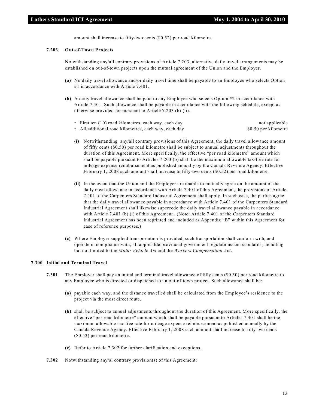amount shall increase to fifty-two cents (\$0.52) per road kilometre.

#### **7.203 Out-of-Town Projects**

Notwithstanding any/all contrary provisions of Article 7.203, alternative daily travel arrangements may be established on out-of-town projects upon the mutual agreement of the Union and the Employer.

- **(a)** No daily travel allowance and/or daily travel time shall be payable to an Employee who selects Option #1 in accordance with Article 7.401.
- **(b)** A daily travel allowance shall be paid to any Employee who selects Option #2 in accordance with Article 7.401. Such allowance shall be payable in accordance with the following schedule, except as otherwise provided for pursuant to Article 7.203 (b) (ii).
	- First ten (10) road kilometres, each way, each day not applicable
	- All additional road kilometres, each way, each day \$0.50 per kilometre
- - **(i)** Notwithstanding any/all contrary provisions of this Agreement, the daily travel allowance amount of fifty cents (\$0.50) per road kilometre shall be subject to annual adjustments throughout the duration of this Agreement. More specifically, the effective "per road kilometre" amount which shall be payable pursuant to Articles 7.203 (b) shall be the maximum allowable tax-free rate for mileage expense reimbursement as published annually by the Canada Revenue Agency. Effective February 1, 2008 such amount shall increase to fifty-two cents (\$0.52) per road kilometre.
	- **(ii)** In the event that the Union and the Employer are unable to mutually agree on the amount of the daily meal allowance in accordance with Article 7.401 of this Agreement, the provisions of Article 7.401 of the Carpenters Standard Industrial Agreement shall apply. In such case, the parties agree that the daily travel allowance payable in accordance with Article 7.401 of the Carpenters Standard Industrial Agreement shall likewise supercede the daily travel allowance payable in accordance with Article 7.401 (b) (i) of this Agreement . (Note: Article 7.401 of the Carpenters Standard Industrial Agreement has been reprinted and included as Appendix "B" within this Agreement for ease of reference purposes.)
- **(c)** Where Employer supplied transportation is provided, such transportation shall conform with, and operate in compliance with, all applicable provincial government regulations and standards, including but not limited to the *Motor Vehicle Act* and the *Workers Compensation Act*.

#### **7.300 Initial and Terminal Travel**

- **7.301** The Employer shall pay an initial and terminal travel allowance of fifty cents (\$0.50) per road kilometre to any Employee who is directed or dispatched to an out-of-town project. Such allowance shall be:
	- **(a)** payable each way, and the distance travelled shall be calculated from the Employee's residence to the project via the most direct route.
	- **(b)** shall be subject to annual adjustments throughout the duration of this Agreement. More specifically, the effective "per road kilometre" amount which shall be payable pursuant to Articles 7.301 shall be the maximum allowable tax-free rate for mileage expense reimbursement as published annually by the Canada Revenue Agency. Effective February 1, 2008 such amount shall increase to fifty-two cents (\$0.52) per road kilometre.
	- **(c)** Refer to Article 7.302 for further clarification and exceptions.
- **7.302** Notwithstanding any/al contrary provision(s) of this Agreement: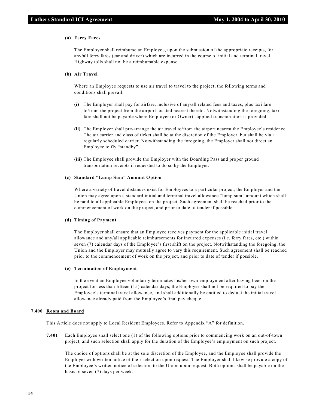#### **(a) Ferry Fares**

The Employer shall reimburse an Employee, upon the submission of the appropriate receipts, for any/all ferry fares (car and driver) which are incurred in the course of initial and terminal travel. Highway tolls shall not be a reimbursable expense.

#### **(b) Air Travel**

Where an Employee requests to use air travel to travel to the project, the following terms and conditions shall prevail.

- **(i)** The Employer shall pay for airfare, inclusive of any/all related fees and taxes, plus taxi fare to/from the project from the airport located nearest thereto. Notwithstanding the foregoing, taxi fare shall not be payable where Employer (or Owner) supplied transportation is provided.
- **(ii)** The Employer shall pre-arrange the air travel to/from the airport nearest the Employee's residence. The air carrier and class of ticket shall be at the discretion of the Employer, but shall be via a regularly scheduled carrier. Notwithstanding the foregoing, the Employer shall not direct an Employee to fly "standby".
- **(iii)** The Employee shall provide the Employer with the Boarding Pass and proper ground transportation receipts if requested to do so by the Employer.

#### **(c) Standard "Lump Sum" Amount Option**

Where a variety of travel distances exist for Employees to a particular project, the Employer and the Union may agree upon a standard initial and terminal travel allowance "lump sum" amount which shall be paid to all applicable Employees on the project. Such agreement shall be reached prior to the commencement of work on the project, and prior to date of tender if possible.

#### **(d) Timing of Payment**

The Employer shall ensure that an Employee receives payment for the applicable initial travel allowance and any/all applicable reimbursements for incurred expenses (i.e. ferry fares, etc.) within seven (7) calendar days of the Employee's first shift on the project. Notwithstanding the foregoing, the Union and the Employer may mutually agree to vary this requirement. Such agreement shall be reached prior to the commencement of work on the project, and prior to date of tender if possible.

#### **(e) Termination of Employment**

In the event an Employee voluntarily terminates his/her own employment after having been on the project for less than fifteen (15) calendar days, the Employer shall not be required to pay the Employee's terminal travel allowance, and shall additionally be entitled to deduct the initial travel allowance already paid from the Employee's final pay cheque.

#### **7.400 Room and Board**

This Article does not apply to Local Resident Employees. Refer to Appendix "A" for definition.

**7.401** Each Employee shall select one (1) of the following options prior to commencing work on an out-of-town project, and such selection shall apply for the duration of the Employee's employment on such project.

The choice of options shall be at the sole discretion of the Employee, and the Employee shall provide the Employer with written notice of their selection upon request. The Employer shall likewise provide a copy of the Employee's written notice of selection to the Union upon request. Both options shall be payable on the basis of seven (7) days per week.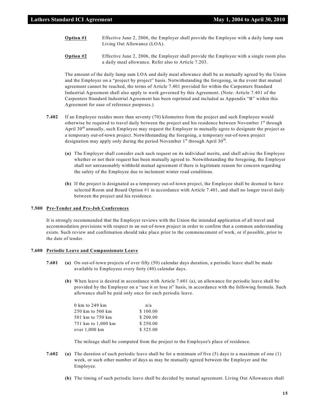- **Option #1** Effective June 2, 2006, the Employer shall provide the Employee with a daily lump sum Living Out Allowance (LOA).
- **Option #2** Effective June 2, 2006, the Employer shall provide the Employee with a single room plus a daily meal allowance. Refer also to Article 7.203.

The amount of the daily lump sum LOA and daily meal allowance shall be as mutually agreed by the Union and the Employer on a "project by project" basis. Notwithstanding the foregoing, in the event that mutual agreement cannot be reached, the terms of Article 7.401 provided for within the Carpenters Standard Industrial Agreement shall also apply to work governed by this Agreement. (Note: Article 7.401 of the Carpenters Standard Industrial Agreement has been reprinted and included as Appendix "B" within this Agreement for ease of reference purposes.)

- **7.402** If an Employee resides more than seventy (70) kilometres from the project and such Employee would otherwise be required to travel daily between the project and his residence between November 1<sup>st</sup> through April 30<sup>th</sup> annually, such Employee may request the Employer to mutually agree to designate the project as a temporary out-of-town project. Notwithstanding the foregoing, a temporary out-of-town project designation may apply only during the period November  $1^{st}$  through April 30<sup>th</sup>.
	- **(a)** The Employer shall consider each such request on its individual merits, and shall advise the Employee whether or not their request has been mutually agreed to. Notwithstanding the foregoing, the Employer shall not unreasonably withhold mutual agreement if there is legitimate reason for concern regarding the safety of the Employee due to inclement winter road conditions.
	- **(b)** If the project is designated as a temporary out-of-town project, the Employee shall be deemed to have selected Room and Board Option #1 in accordance with Article 7.401, and shall no longer travel daily between the project and his residence.

#### **7.500 Pre-Tender and Pre-Job Conferences**

It is strongly recommended that the Employer reviews with the Union the intended application of all travel and accommodation provisions with respect to an out-of-town project in order to confirm that a common understanding exists. Such review and confirmation should take place prior to the commencement of work, or if possible, prior to the date of tender.

#### **7.600 Periodic Leave and Compassionate Leave**

- **7.601 (a)** On out-of-town projects of over fifty (50) calendar days duration, a periodic leave shall be made available to Employees every forty (40) calendar days.
	- **(b)** When leave is desired in accordance with Article 7.601 (a), an allowance for periodic leave shall be provided by the Employer on a "use it or lose it" basis, in accordance with the following formula. Such allowance shall be paid only once for each periodic leave.

| 0 km to 249 km     | n/a      |
|--------------------|----------|
| 250 km to 500 km   | \$100.00 |
| 501 km to 750 km   | \$200.00 |
| 751 km to 1,000 km | \$250.00 |
| over 1,000 km      | \$325.00 |

The mileage shall be computed from the project to the Employee's place of residence.

- **7.602 (a)** The duration of such periodic leave shall be for a minimum of five (5) days to a maximum of one (1) week, or such other number of days as may be mutually agreed between the Employer and the Employee.
	- **(b)** The timing of such periodic leave shall be decided by mutual agreement. Living Out Allowances shall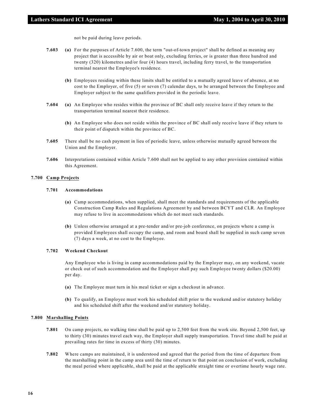not be paid during leave periods.

- **7.603 (a)** For the purposes of Article 7.600, the term "out-of-town project" shall be defined as meaning any project that is accessible by air or boat only, excluding ferries, or is greater than three hundred and twenty (320) kilometres and/or four (4) hours travel, including ferry travel, to the transportation terminal nearest the Employee's residence.
	- **(b)** Employees residing within these limits shall be entitled to a mutually agreed leave of absence, at no cost to the Employer, of five (5) or seven (7) calendar days, to be arranged between the Employee and Employer subject to the same qualifiers provided in the periodic leave.
- **7.604 (a)** An Employee who resides within the province of BC shall only receive leave if they return to the transportation terminal nearest their residence.
	- **(b)** An Employee who does not reside within the province of BC shall only receive leave if they return to their point of dispatch within the province of BC.
- **7.605** There shall be no cash payment in lieu of periodic leave, unless otherwise mutually agreed between the Union and the Employer.
- **7.606** Interpretations contained within Article 7.600 shall not be applied to any other provision contained within this Agreement.

### **7.700 Camp Projects**

# **7.701 Accommodations**

- **(a)** Camp accommodations, when supplied, shall meet the standards and requirements of the applicable Construction Camp Rules and Regulations Agreement by and between BCYT and CLR. An Employee may refuse to live in accommodations which do not meet such standards.
- **(b)** Unless otherwise arranged at a pre-tender and/or pre-job conference, on projects where a camp is provided Employees shall occupy the camp, and room and board shall be supplied in such camp seven (7) days a week, at no cost to the Employee.

# **7.702 Weekend Checkout**

Any Employee who is living in camp accommodations paid by the Employer may, on any weekend, vacate or check out of such accommodation and the Employer shall pay such Employee twenty dollars (\$20.00) per day.

- **(a)** The Employee must turn in his meal ticket or sign a checkout in advance.
- **(b)** To qualify, an Employee must work his scheduled shift prior to the weekend and/or statutory holiday and his scheduled shift after the weekend and/or statutory holiday.

#### **7.800 Marshalling Points**

- **7.801** On camp projects, no walking time shall be paid up to 2,500 feet from the work site. Beyond 2,500 feet, up to thirty (30) minutes travel each way, the Employer shall supply transportation. Travel time shall be paid at prevailing rates for time in excess of thirty (30) minutes.
- **7.802** Where camps are maintained, it is understood and agreed that the period from the time of departure from the marshalling point in the camp area until the time of return to that point on conclusion of work, excluding the meal period where applicable, shall be paid at the applicable straight time or overtime hourly wage rate.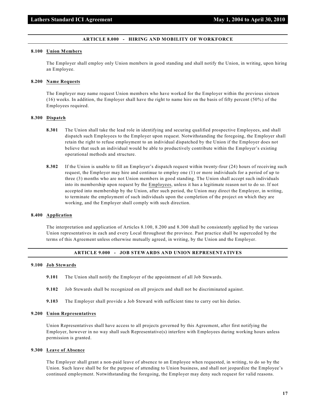#### **ARTICLE 8.000 - HIRING AND MOBILITY OF WORKFORCE**

#### **8.100 Union Members**

The Employer shall employ only Union members in good standing and shall notify the Union, in writing, upon hiring an Employee.

#### **8.200 Name Requests**

The Employer may name request Union members who have worked for the Employer within the previous sixteen (16) weeks. In addition, the Employer shall have the right to name hire on the basis of fifty percent (50%) of the Employees required.

#### **8.300 Dispatch**

- **8.301** The Union shall take the lead role in identifying and securing qualified prospective Employees, and shall dispatch such Employees to the Employer upon request. Notwithstanding the foregoing, the Employer shall retain the right to refuse employment to an individual dispatched by the Union if the Employer does not believe that such an individual would be able to productively contribute within the Employer's existing operational methods and structure.
- **8.302** If the Union is unable to fill an Employer's dispatch request within twenty-four (24) hours of receiving such request, the Employer may hire and continue to employ one (1) or more individuals for a period of up to three (3) months who are not Union members in good standing. The Union shall accept such individuals into its membership upon request by the Employees, unless it has a legitimate reason not to do so. If not accepted into membership by the Union, after such period, the Union may direct the Employer, in writing, to terminate the employment of such individuals upon the completion of the project on which they are working, and the Employer shall comply with such direction.

#### **8.400 Application**

The interpretation and application of Articles 8.100, 8.200 and 8.300 shall be consistently applied by the various Union representatives in each and every Local throughout the province. Past practice shall be superceded by the terms of this Agreement unless otherwise mutually agreed, in writing, by the Union and the Employer.

# **ARTICLE 9.000 - JOB STEWARDS AND UNION REPRESENTATIVES**

#### **9.100 Job Stewards**

- **9.101** The Union shall notify the Employer of the appointment of all Job Stewards.
- **9.102** Job Stewards shall be recognized on all projects and shall not be discriminated against.
- **9.103** The Employer shall provide a Job Steward with sufficient time to carry out his duties.

#### **9.200 Union Representatives**

Union Representatives shall have access to all projects governed by this Agreement, after first notifying the Employer, however in no way shall such Representative(s) interfere with Employees during working hours unless permission is granted.

#### **9.300 Leave of Absence**

The Employer shall grant a non-paid leave of absence to an Employee when requested, in writing, to do so by the Union. Such leave shall be for the purpose of attending to Union business, and shall not jeopardize the Employee's continued employment. Notwithstanding the foregoing, the Employer may deny such request for valid reasons.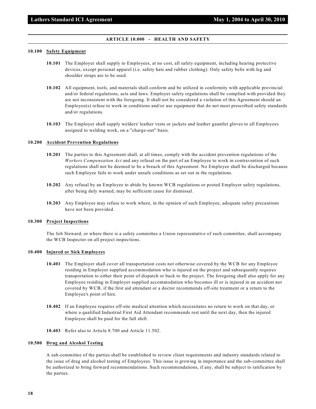#### **ARTICLE 10.000 - HEALTH AND SAFETY**

# **10.100 Safety Equipment**

- **10.101** The Employer shall supply to Employees, at no cost, all safety equipment, including hearing protective devices, except personal apparel (i.e. safety hats and rubber clothing). Only safety belts with leg and shoulder straps are to be used.
- **10.102** All equipment, tools, and materials shall conform and be utilized in conformity with applicable provincial and/or federal regulations, acts and laws. Employer safety regulations shall be complied with provided they are not inconsistent with the foregoing. It shall not be considered a violation of this Agreement should an Employee(s) refuse to work in conditions and/or use equipment that do not meet prescribed safety standards and/or regulations.
- **10.103** The Employer shall supply welders' leather vests or jackets and leather gauntlet gloves to all Employees assigned to welding work, on a "charge-out" basis.

#### **10.200 Accident Prevention Regulations**

- **10.201** The parties to this Agreement shall, at all times, comply with the accident prevention regulations of the *Workers Compensation Act* and any refusal on the part of an Employee to work in contravention of such regulations shall not be deemed to be a breach of this Agreement. No Employee shall be discharged because such Employee fails to work under unsafe conditions as set out in the regulations.
- **10.202** Any refusal by an Employee to abide by known WCB regulations or posted Employer safety regulations, after being duly warned, may be sufficient cause for dismissal.
- **10.203** Any Employee may refuse to work where, in the opinion of such Employee, adequate safety precautions have not been provided.

#### **10.300 Project Inspections**

The Job Steward, or where there is a safety committee a Union representative of such committee, shall accompany the WCB Inspector on all project inspections.

#### **10.400 Injured or Sick Employees**

- **10.401** The Employer shall cover all transportation costs not otherwise covered by the WCB for any Employee residing in Employer supplied accommodation who is injured on the project and subsequently requires transportation to either their point of dispatch or back to the project. The foregoing shall also apply for any Employee residing in Employer supplied accommodation who becomes ill or is injured in an accident not covered by WCB, if the first aid attendant or a doctor recommends off-site treatment or a return to the Employee's point of hire.
- **10.402** If an Employee requires off-site medical attention which necessitates no return to work on that day, or where a qualified Industrial First Aid Attendant recommends rest until the next day, then the injured Employee shall be paid for the full shift.
- **10.403** Refer also to Article 8.700 and Article 11.502.

#### **10.500 Drug and Alcohol Testing**

A sub-committee of the parties shall be established to review client requirements and industry standards related to the issue of drug and alcohol testing of Employees. This issue is growing in importance and the sub-committee shall be authorized to bring forward recommendations. Such recommendations, if any, shall be subject to ratification by the parties.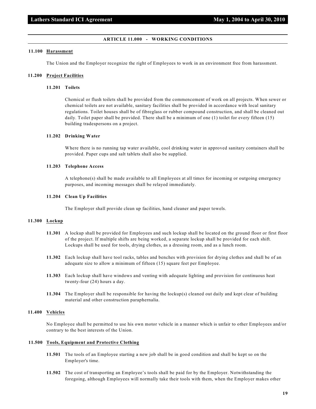#### **ARTICLE 11.000 - WORKING CONDITIONS**

#### **11.100 Harassment**

The Union and the Employer recognize the right of Employees to work in an environment free from harassment.

#### **11.200 Project Facilities**

# **11.201 Toilets**

Chemical or flush toilets shall be provided from the commencement of work on all projects. When sewer or chemical toilets are not available, sanitary facilities shall be provided in accordance with local sanitary regulations. Toilet houses shall be of fibreglass or rubber compound construction, and shall be cleaned out daily. Toilet paper shall be provided. There shall be a minimum of one (1) toilet for every fifteen (15) building tradespersons on a project.

# **11.202 Drinking Water**

Where there is no running tap water available, cool drinking water in approved sanitary containers shall be provided. Paper cups and salt tablets shall also be supplied.

#### **11.203 Telephone Access**

A telephone(s) shall be made available to all Employees at all times for incoming or outgoing emergency purposes, and incoming messages shall be relayed immediately.

# **11.204 Clean Up Facilities**

The Employer shall provide clean up facilities, hand cleaner and paper towels.

# **11.300 Lockup**

- **11.301** A lockup shall be provided for Employees and such lockup shall be located on the ground floor or first floor of the project. If multiple shifts are being worked, a separate lockup shall be provided for each shift. Lockups shall be used for tools, drying clothes, as a dressing room, and as a lunch room.
- **11.302** Each lockup shall have tool racks, tables and benches with provision for drying clothes and shall be of an adequate size to allow a minimum of fifteen (15) square feet per Employee.
- **11.303** Each lockup shall have windows and venting with adequate lighting and provision for continuous heat twenty-four (24) hours a day.
- **11.304** The Employer shall be responsible for having the lockup(s) cleaned out daily and kept clear of building material and other construction paraphernalia.

# **11.400 Vehicles**

No Employee shall be permitted to use his own motor vehicle in a manner which is unfair to other Employees and/or contrary to the best interests of the Union.

#### **11.500 Tools, Equipment and Protective Clothing**

- **11.501** The tools of an Employee starting a new job shall be in good condition and shall be kept so on the Employer's time.
- **11.502** The cost of transporting an Employee's tools shall be paid for by the Employer. Notwithstanding the foregoing, although Employees will normally take their tools with them, when the Employer makes other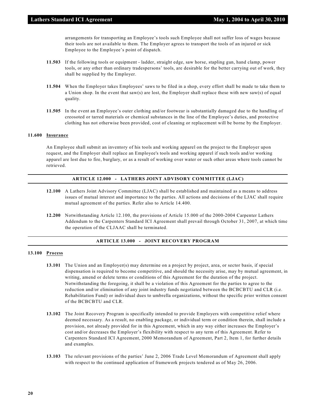arrangements for transporting an Employee's tools such Employee shall not suffer loss of wages because their tools are not available to them. The Employer agrees to transport the tools of an injured or sick Employee to the Employee's point of dispatch.

- **11.503** If the following tools or equipment ladder, straight edge, saw horse, stapling gun, hand clamp, power tools, or any other than ordinary tradespersons' tools, are desirable for the better carrying out of work, they shall be supplied by the Employer.
- **11.504** When the Employer takes Employees' saws to be filed in a shop, every effort shall be made to take them to a Union shop. In the event that saw(s) are lost, the Employer shall replace these with new saw(s) of equal quality.
- **11.505** In the event an Employee's outer clothing and/or footwear is substantially damaged due to the handling of creosoted or tarred materials or chemical substances in the line of the Employee's duties, and protective clothing has not otherwise been provided, cost of cleaning or replacement will be borne by the Employer.

# **11.600 Insurance**

An Employee shall submit an inventory of his tools and working apparel on the project to the Employer upon request, and the Employer shall replace an Employee's tools and working apparel if such tools and/or working apparel are lost due to fire, burglary, or as a result of working over water or such other areas where tools cannot be retrieved.

#### **ARTICLE 12.000 - LATHERS JOINT ADVISORY COMMITTEE (LJAC)**

- **12.100** A Lathers Joint Advisory Committee (LJAC) shall be established and maintained as a means to address issues of mutual interest and importance to the parties. All actions and decisions of the LJAC shall require mutual agreement of the parties. Refer also to Article 14.400.
- **12.200** Notwithstanding Article 12.100, the provisions of Article 15.000 of the 2000-2004 Carpenter Lathers Addendum to the Carpenters Standard ICI Agreement shall prevail through October 31, 2007, at which time the operation of the CLJAAC shall be terminated.

# **ARTICLE 13.000 - JOINT RECOVERY PROGRAM**

# **13.100 Process**

- **13.101** The Union and an Employer(s) may determine on a project by project, area, or sector basis, if special dispensation is required to become competitive, and should the necessity arise, may by mutual agreement, in writing, amend or delete terms or conditions of this Agreement for the duration of the project. Notwithstanding the foregoing, it shall be a violation of this Agreement for the parties to agree to the reduction and/or elimination of any joint industry funds negotiated between the BCBCBTU and CLR (i.e. Rehabilitation Fund) or individual dues to umbrella organizations, without the specific prior written consent of the BCBCBTU and CLR.
- **13.102** The Joint Recovery Program is specifically intended to provide Employers with competitive relief where deemed necessary. As a result, no enabling package, or individual term or condition therein, shall include a provision, not already provided for in this Agreement, which in any way either increases the Employer's cost and/or decreases the Employer's flexibility with respect to any term of this Agreement. Refer to Carpenters Standard ICI Agreement, 2000 Memorandum of Agreement, Part 2, Item 1, for further details and examples.
- **13.103** The relevant provisions of the parties' June 2, 2006 Trade Level Memorandum of Agreement shall apply with respect to the continued application of framework projects tendered as of May 26, 2006.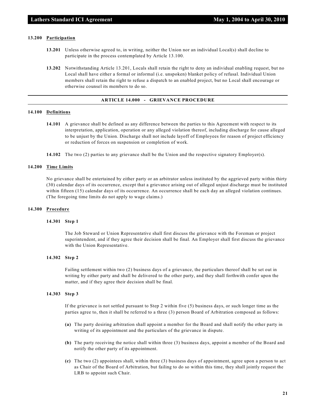# **13.200 Participation**

- **13.201** Unless otherwise agreed to, in writing, neither the Union nor an individual Local(s) shall decline to participate in the process contemplated by Article 13.100.
- **13.202** Notwithstanding Article 13.201, Locals shall retain the right to deny an individual enabling request, but no Local shall have either a formal or informal (i.e. unspoken) blanket policy of refusal. Individual Union members shall retain the right to refuse a dispatch to an enabled project, but no Local shall encourage or otherwise counsel its members to do so.

# **ARTICLE 14.000 - GRIEVANCE PROCEDURE**

# **14.100 Definitions**

- **14.101** A grievance shall be defined as any difference between the parties to this Agreement with respect to its interpretation, application, operation or any alleged violation thereof, including discharge for cause alleged to be unjust by the Union. Discharge shall not include layoff of Employees for reason of project efficiency or reduction of forces on suspension or completion of work.
- **14.102** The two (2) parties to any grievance shall be the Union and the respective signatory Employer(s).

#### **14.200 Time Limits**

No grievance shall be entertained by either party or an arbitrator unless instituted by the aggrieved party within thirty (30) calendar days of its occurrence, except that a grievance arising out of alleged unjust discharge must be instituted within fifteen (15) calendar days of its occurrence. An occurrence shall be each day an alleged violation continues. (The foregoing time limits do not apply to wage claims.)

#### **14.300 Procedure**

#### **14.301 Step 1**

The Job Steward or Union Representative shall first discuss the grievance with the Foreman or project superintendent, and if they agree their decision shall be final. An Employer shall first discuss the grievance with the Union Representative.

#### **14.302 Step 2**

Failing settlement within two (2) business days of a grievance, the particulars thereof shall be set out in writing by either party and shall be delivered to the other party, and they shall forthwith confer upon the matter, and if they agree their decision shall be final.

#### **14.303 Step 3**

If the grievance is not settled pursuant to Step 2 within five (5) business days, or such longer time as the parties agree to, then it shall be referred to a three (3) person Board of Arbitration composed as follows:

- **(a)** The party desiring arbitration shall appoint a member for the Board and shall notify the other party in writing of its appointment and the particulars of the grievance in dispute.
- **(b)** The party receiving the notice shall within three (3) business days, appoint a member of the Board and notify the other party of its appointment.
- **(c)** The two (2) appointees shall, within three (3) business days of appointment, agree upon a person to act as Chair of the Board of Arbitration, but failing to do so within this time, they shall jointly request the LRB to appoint such Chair.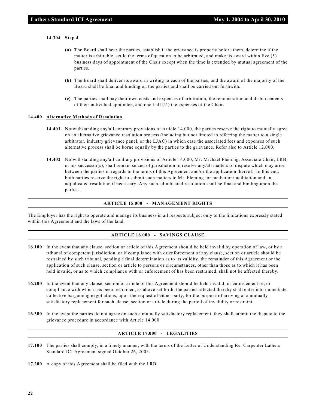#### **14.304 Step 4**

- **(a)** The Board shall hear the parties, establish if the grievance is properly before them, determine if the matter is arbitrable, settle the terms of question to be arbitrated, and make its award within five (5) business days of appointment of the Chair except when the time is extended by mutual agreement of the parties.
- **(b)** The Board shall deliver its award in writing to each of the parties, and the award of the majority of the Board shall be final and binding on the parties and shall be carried out forthwith.
- **(c)** The parties shall pay their own costs and expenses of arbitration, the remuneration and disbursements of their individual appointee, and one-half  $(\frac{1}{2})$  the expenses of the Chair.

#### **14.400 Alternative Methods of Resolution**

- **14.401** Notwithstanding any/all contrary provisions of Article 14.000, the parties reserve the right to mutually agree on an alternative grievance resolution process (including but not limited to referring the matter to a single arbitrator, industry grievance panel, or the LJAC) in which case the associated fees and expenses of such alternative process shall be borne equally by the parties to the grievance. Refer also to Article 12.000.
- **14.402** Notwithstanding any/all contrary provisions of Article 14.000, Mr. Michael Fleming, Associate Chair, LRB, or his successor(s), shall remain seized of jurisdiction to resolve any/all matters of dispute which may arise between the parties in regards to the terms of this Agreement and/or the application thereof. To this end, both parties reserve the right to submit such matters to Mr. Fleming for mediation/facilitation and an adjudicated resolution if necessary. Any such adjudicated resolution shall be final and binding upon the parties.

### **ARTICLE 15.000 - MANAGEMENT RIGHTS**

The Employer has the right to operate and manage its business in all respects subject only to the limitations expressly stated within this Agreement and the laws of the land.

#### **ARTICLE 16.000 - SAVINGS CLAUSE**

- **16.100** In the event that any clause, section or article of this Agreement should be held invalid by operation of law, or by a tribunal of competent jurisdiction, or if compliance with or enforcement of any clause, section or article should be restrained by such tribunal, pending a final determination as to its validity, the remainder of this Agreement or the application of such clause, section or article to persons or circumstances, other than those as to which it has been held invalid, or as to which compliance with or enforcement of has been restrained, shall not be affected thereby.
- **16.200** In the event that any clause, section or article of this Agreement should be held invalid, or enforcement of, or compliance with which has been restrained, as above set forth, the parties affected thereby shall enter into immediate collective bargaining negotiations, upon the request of either party, for the purpose of arriving at a mutually satisfactory replacement for such clause, section or article during the period of invalidity or restraint.
- **16.300** In the event the parties do not agree on such a mutually satisfactory replacement, they shall submit the dispute to the grievance procedure in accordance with Article 14.000.

# **ARTICLE 17.000 - LEGALITIES**

- **17.100** The parties shall comply, in a timely manner, with the terms of the Letter of Understanding Re: Carpenter Lathers Standard ICI Agreement signed October 26, 2005.
- **17.200** A copy of this Agreement shall be filed with the LRB.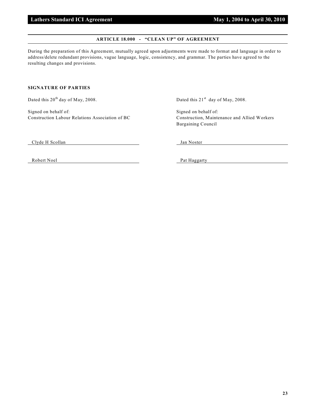#### **ARTICLE 18.000 - "CLEAN UP" OF AGREEMENT**

During the preparation of this Agreement, mutually agreed upon adjustments were made to format and language in order to address/delete redundant provisions, vague language, logic, consistency, and grammar. The parties have agreed to the resulting changes and provisions.

# **SIGNATURE OF PARTIES**

Signed on behalf of: Signed on behalf of: Signed on behalf of:

Dated this  $20^{th}$  day of May, 2008. Dated this  $21^{st}$  day of May, 2008.

Construction Labour Relations Association of BC Construction, Maintenance and Allied Workers Bargaining Council

Clyde H Scollan Jan Noster

Robert Noel Pat Haggarty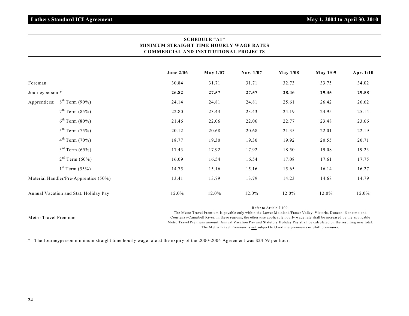| <b>MINIMUM STRAIGHT TIME HOURLY WAGE RATES</b><br><b>COMMERCIAL AND INSTITUTIONAL PROJECTS</b> |                                       |                  |          |           |                 |                 |           |
|------------------------------------------------------------------------------------------------|---------------------------------------|------------------|----------|-----------|-----------------|-----------------|-----------|
|                                                                                                |                                       | <b>June 2/06</b> | May 1/07 | Nov. 1/07 | <b>May 1/08</b> | <b>May 1/09</b> | Apr. 1/10 |
| Foreman                                                                                        |                                       | 30.84            | 31.71    | 31.71     | 32.73           | 33.75           | 34.02     |
| Journeyperson *                                                                                |                                       | 26.82            | 27.57    | 27.57     | 28.46           | 29.35           | 29.58     |
| Apprentices:                                                                                   | $8^{th}$ Term (90%)                   | 24.14            | 24.81    | 24.81     | 25.61           | 26.42           | 26.62     |
|                                                                                                | 7 <sup>th</sup> Term (85%)            | 22.80            | 23.43    | 23.43     | 24.19           | 24.95           | 25.14     |
|                                                                                                | $6^{th}$ Term (80%)                   | 21.46            | 22.06    | 22.06     | 22.77           | 23.48           | 23.66     |
|                                                                                                | $5^{th}$ Term (75%)                   | 20.12            | 20.68    | 20.68     | 21.35           | 22.01           | 22.19     |
|                                                                                                | $4^{th}$ Term (70%)                   | 18.77            | 19.30    | 19.30     | 19.92           | 20.55           | 20.71     |
|                                                                                                | $3^{rd}$ Term $(65%)$                 | 17.43            | 17.92    | 17.92     | 18.50           | 19.08           | 19.23     |
|                                                                                                | $2nd$ Term (60%)                      | 16.09            | 16.54    | 16.54     | 17.08           | 17.61           | 17.75     |
|                                                                                                | $1^{st}$ Term (55%)                   | 14.75            | 15.16    | 15.16     | 15.65           | 16.14           | 16.27     |
|                                                                                                | Material Handler/Pre-Apprentice (50%) | 13.41            | 13.79    | 13.79     | 14.23           | 14.68           | 14.79     |
|                                                                                                | Annual Vacation and Stat. Holiday Pay | 12.0%            | 12.0%    | 12.0%     | 12.0%           | 12.0%           | 12.0%     |

**SCHEDULE "A1"**

|                      | Refer to Article 7.100.                                                                                                    |
|----------------------|----------------------------------------------------------------------------------------------------------------------------|
|                      | The Metro Travel Premium is payable only within the Lower Mainland/Fraser Valley, Victoria, Duncan, Nanaimo and            |
| Metro Travel Premium | Courtenay-Campbell River. In these regions, the otherwise applicable hourly wage rate shall be increased by the applicable |
|                      | Metro Travel Premium amount. Annual Vacation Pay and Statutory Holiday Pay shall be calculated on the resulting new total. |
|                      | The Metro Travel Premium is not subject to Overtime premiums or Shift premiums.                                            |
|                      |                                                                                                                            |

\* The Journeyperson minimum straight time hourly wage rate at the expiry of the 2000-2004 Agreement was \$24.59 per hour.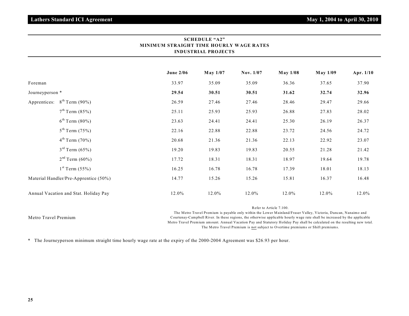|                 |                                       | <b>June 2/06</b> | May 1/07 | Nov. 1/07 | <b>May 1/08</b> | <b>May 1/09</b> | Apr. 1/10 |
|-----------------|---------------------------------------|------------------|----------|-----------|-----------------|-----------------|-----------|
| Foreman         |                                       | 33.97            | 35.09    | 35.09     | 36.36           | 37.65           | 37.90     |
| Journeyperson * |                                       | 29.54            | 30.51    | 30.51     | 31.62           | 32.74           | 32.96     |
| Apprentices:    | $8^{th}$ Term (90%)                   | 26.59            | 27.46    | 27.46     | 28.46           | 29.47           | 29.66     |
|                 | $7^{th}$ Term (85%)                   | 25.11            | 25.93    | 25.93     | 26.88           | 27.83           | 28.02     |
|                 | $6^{th}$ Term (80%)                   | 23.63            | 24.41    | 24.41     | 25.30           | 26.19           | 26.37     |
|                 | $5^{th}$ Term (75%)                   | 22.16            | 22.88    | 22.88     | 23.72           | 24.56           | 24.72     |
|                 | $4^{th}$ Term $(70\%)$                | 20.68            | 21.36    | 21.36     | 22.13           | 22.92           | 23.07     |
|                 | $3^{rd}$ Term $(65%)$                 | 19.20            | 19.83    | 19.83     | 20.55           | 21.28           | 21.42     |
|                 | $2nd$ Term (60%)                      | 17.72            | 18.31    | 18.31     | 18.97           | 19.64           | 19.78     |
|                 | $1st$ Term (55%)                      | 16.25            | 16.78    | 16.78     | 17.39           | 18.01           | 18.13     |
|                 | Material Handler/Pre-Apprentice (50%) | 14.77            | 15.26    | 15.26     | 15.81           | 16.37           | 16.48     |
|                 | Annual Vacation and Stat. Holiday Pay | 12.0%            | 12.0%    | 12.0%     | 12.0%           | 12.0%           | 12.0%     |

| <b>SCHEDULE "A2"</b>                    |
|-----------------------------------------|
| MINIMUM STRAIGHT TIME HOURLY WAGE RATES |
| <b>INDUSTRIAL PROJECTS</b>              |

Metro Travel Premium Refer to Article 7.100. The Metro Travel Premium is payable only within the Lower Mainland/Fraser Valley, Victoria, Duncan, Nanaimo and Courtenay-Campbell River. In these regions, the otherwise applicable hourly wage rate shall be increased by the applicable Metro Travel Premium amount. Annual Vacation Pay and Statutory Holiday Pay shall be calculated on the resulting new total. The Metro Travel Premium is not subject to Overtime premiums or Shift premiums.

\* The Journeyperson minimum straight time hourly wage rate at the expiry of the 2000-2004 Agreement was \$26.93 per hour.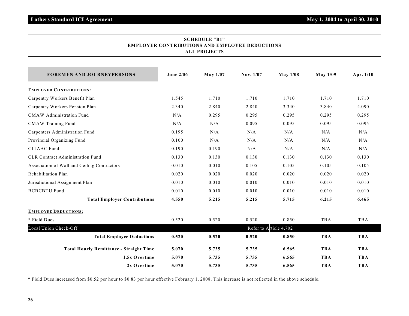| <b>EMPLOYER CONTRIBUTIONS AND EMPLOYEE DEDUCTIONS</b><br><b>ALL PROJECTS</b> |                  |                 |           |                        |                 |            |  |
|------------------------------------------------------------------------------|------------------|-----------------|-----------|------------------------|-----------------|------------|--|
| <b>FOREMEN AND JOURNEYPERSONS</b>                                            | <b>June 2/06</b> | <b>May 1/07</b> | Nov. 1/07 | <b>May 1/08</b>        | <b>May 1/09</b> | Apr. 1/10  |  |
| <b>EMPLOYER CONTRIBUTIONS:</b>                                               |                  |                 |           |                        |                 |            |  |
| Carpentry Workers Benefit Plan                                               | 1.545            | 1.710           | 1.710     | 1.710                  | 1.710           | 1.710      |  |
| Carpentry Workers Pension Plan                                               | 2.340            | 2.840           | 2.840     | 3.340                  | 3.840           | 4.090      |  |
| <b>CMAW</b> Administration Fund                                              | N/A              | 0.295           | 0.295     | 0.295                  | 0.295           | 0.295      |  |
| <b>CMAW Training Fund</b>                                                    | N/A              | N/A             | 0.095     | 0.095                  | 0.095           | 0.095      |  |
| Carpenters Administration Fund                                               | 0.195            | N/A             | N/A       | N/A                    | N/A             | N/A        |  |
| Provincial Organizing Fund                                                   | 0.100            | N/A             | N/A       | N/A                    | N/A             | N/A        |  |
| <b>CLJAAC</b> Fund                                                           | 0.190            | 0.190           | N/A       | N/A                    | N/A             | N/A        |  |
| CLR Contract Administration Fund                                             | 0.130            | 0.130           | 0.130     | 0.130                  | 0.130           | 0.130      |  |
| Association of Wall and Ceiling Contractors                                  | 0.010            | 0.010           | 0.105     | 0.105                  | 0.105           | 0.105      |  |
| Rehabilitation Plan                                                          | 0.020            | 0.020           | 0.020     | 0.020                  | 0.020           | 0.020      |  |
| Jurisdictional Assignment Plan                                               | 0.010            | 0.010           | 0.010     | 0.010                  | 0.010           | 0.010      |  |
| <b>BCBCBTU Fund</b>                                                          | 0.010            | 0.010           | 0.010     | 0.010                  | 0.010           | 0.010      |  |
| <b>Total Employer Contributions</b>                                          | 4.550            | 5.215           | 5.215     | 5.715                  | 6.215           | 6.465      |  |
| <b>EMPLOYEE DEDUCTIONS:</b>                                                  |                  |                 |           |                        |                 |            |  |
| * Field Dues                                                                 | 0.520            | 0.520           | 0.520     | 0.850                  | <b>TBA</b>      | TBA        |  |
| Local Union Check-Off                                                        |                  |                 |           | Refer to Article 4.702 |                 |            |  |
| <b>Total Employee Deductions</b>                                             | 0.520            | 0.520           | 0.520     | 0.850                  | <b>TBA</b>      | <b>TBA</b> |  |
| <b>Total Hourly Remittance - Straight Time</b>                               | 5.070            | 5.735           | 5.735     | 6.565                  | <b>TBA</b>      | <b>TBA</b> |  |
| 1.5x Overtime                                                                | 5.070            | 5.735           | 5.735     | 6.565                  | <b>TBA</b>      | <b>TBA</b> |  |

**2x Overtime 5.070 5.735 5.735 6.565 TBA TBA**

# **SCHEDULE "B1" EMPLOYER CONTRIBUTIONS AND EMPLOYEE DEDUCTIONS**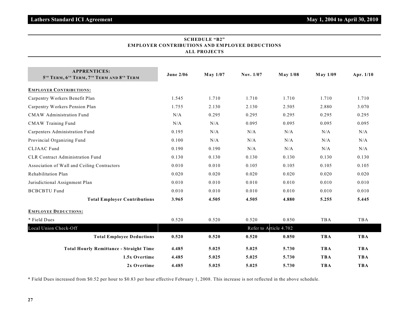| <b>EMPLOYER CONTRIBUTIONS AND EMPLOYEE DEDUCTIONS</b><br><b>ALL PROJECTS</b> |                  |          |           |                        |                 |            |  |  |
|------------------------------------------------------------------------------|------------------|----------|-----------|------------------------|-----------------|------------|--|--|
| <b>APPRENTICES:</b><br>5TH TERM, 6TH TERM, 7TH TERM AND 8TH TERM             | <b>June 2/06</b> | May 1/07 | Nov. 1/07 | <b>May 1/08</b>        | <b>May 1/09</b> | Apr. 1/10  |  |  |
| <b>EMPLOYER CONTRIBUTIONS:</b>                                               |                  |          |           |                        |                 |            |  |  |
| Carpentry Workers Benefit Plan                                               | 1.545            | 1.710    | 1.710     | 1.710                  | 1.710           | 1.710      |  |  |
| Carpentry Workers Pension Plan                                               | 1.755            | 2.130    | 2.130     | 2.505                  | 2.880           | 3.070      |  |  |
| <b>CMAW</b> Administration Fund                                              | N/A              | 0.295    | 0.295     | 0.295                  | 0.295           | 0.295      |  |  |
| <b>CMAW Training Fund</b>                                                    | N/A              | N/A      | 0.095     | 0.095                  | 0.095           | 0.095      |  |  |
| Carpenters Administration Fund                                               | 0.195            | N/A      | N/A       | N/A                    | N/A             | N/A        |  |  |
| Provincial Organizing Fund                                                   | 0.100            | N/A      | N/A       | N/A                    | N/A             | N/A        |  |  |
| <b>CLJAAC</b> Fund                                                           | 0.190            | 0.190    | N/A       | N/A                    | N/A             | N/A        |  |  |
| CLR Contract Administration Fund                                             | 0.130            | 0.130    | 0.130     | 0.130                  | 0.130           | 0.130      |  |  |
| Association of Wall and Ceiling Contractors                                  | 0.010            | 0.010    | 0.105     | 0.105                  | 0.105           | 0.105      |  |  |
| Rehabilitation Plan                                                          | 0.020            | 0.020    | 0.020     | 0.020                  | 0.020           | 0.020      |  |  |
| Jurisdictional Assignment Plan                                               | 0.010            | 0.010    | 0.010     | 0.010                  | 0.010           | 0.010      |  |  |
| <b>BCBCBTU Fund</b>                                                          | 0.010            | 0.010    | 0.010     | 0.010                  | 0.010           | 0.010      |  |  |
| <b>Total Employer Contributions</b>                                          | 3.965            | 4.505    | 4.505     | 4.880                  | 5.255           | 5.445      |  |  |
| <b>EMPLOYEE DEDUCTIONS:</b>                                                  |                  |          |           |                        |                 |            |  |  |
| * Field Dues                                                                 | 0.520            | 0.520    | 0.520     | 0.850                  | TBA             | TBA        |  |  |
| Local Union Check-Off                                                        |                  |          |           | Refer to Article 4.702 |                 |            |  |  |
| <b>Total Employee Deductions</b>                                             | 0.520            | 0.520    | 0.520     | 0.850                  | <b>TBA</b>      | <b>TBA</b> |  |  |
| <b>Total Hourly Remittance - Straight Time</b>                               | 4.485            | 5.025    | 5.025     | 5.730                  | <b>TBA</b>      | <b>TBA</b> |  |  |
| 1.5x Overtime                                                                | 4.485            | 5.025    | 5.025     | 5.730                  | <b>TBA</b>      | <b>TBA</b> |  |  |
| 2x Overtime                                                                  | 4.485            | 5.025    | 5.025     | 5.730                  | <b>TBA</b>      | <b>TBA</b> |  |  |

**SCHEDULE "B2"**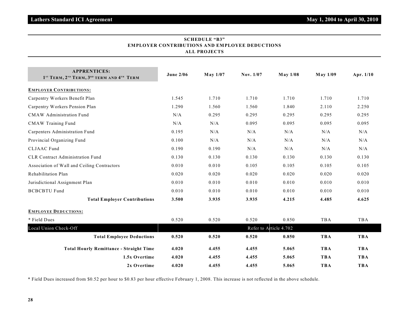| <b>EMPLOYER CONTRIBUTIONS AND EMPLOYEE DEDUCTIONS</b><br><b>ALL PROJECTS</b>                                     |                        |          |           |                 |            |            |  |  |  |  |
|------------------------------------------------------------------------------------------------------------------|------------------------|----------|-----------|-----------------|------------|------------|--|--|--|--|
| <b>APPRENTICES:</b><br>1 <sup>ST</sup> TERM, 2 <sup>ND</sup> TERM, 3 <sup>RD</sup> TERM AND 4 <sup>TH</sup> TERM | <b>June 2/06</b>       | May 1/07 | Nov. 1/07 | <b>May 1/08</b> | May 1/09   | Apr. 1/10  |  |  |  |  |
| <b>EMPLOYER CONTRIBUTIONS:</b>                                                                                   |                        |          |           |                 |            |            |  |  |  |  |
| Carpentry Workers Benefit Plan                                                                                   | 1.545                  | 1.710    | 1.710     | 1.710           | 1.710      | 1.710      |  |  |  |  |
| Carpentry Workers Pension Plan                                                                                   | 1.290                  | 1.560    | 1.560     | 1.840           | 2.110      | 2.250      |  |  |  |  |
| <b>CMAW</b> Administration Fund                                                                                  | N/A                    | 0.295    | 0.295     | 0.295           | 0.295      | 0.295      |  |  |  |  |
| <b>CMAW Training Fund</b>                                                                                        | N/A                    | N/A      | 0.095     | 0.095           | 0.095      | 0.095      |  |  |  |  |
| Carpenters Administration Fund                                                                                   | 0.195                  | N/A      | N/A       | N/A             | N/A        | N/A        |  |  |  |  |
| Provincial Organizing Fund                                                                                       | 0.100                  | N/A      | N/A       | N/A             | N/A        | N/A        |  |  |  |  |
| <b>CLJAAC</b> Fund                                                                                               | 0.190                  | 0.190    | N/A       | N/A             | N/A        | N/A        |  |  |  |  |
| CLR Contract Administration Fund                                                                                 | 0.130                  | 0.130    | 0.130     | 0.130           | 0.130      | 0.130      |  |  |  |  |
| Association of Wall and Ceiling Contractors                                                                      | 0.010                  | 0.010    | 0.105     | 0.105           | 0.105      | 0.105      |  |  |  |  |
| Rehabilitation Plan                                                                                              | 0.020                  | 0.020    | 0.020     | 0.020           | 0.020      | 0.020      |  |  |  |  |
| Jurisdictional Assignment Plan                                                                                   | 0.010                  | 0.010    | 0.010     | 0.010           | 0.010      | 0.010      |  |  |  |  |
| <b>BCBCBTU Fund</b>                                                                                              | 0.010                  | 0.010    | 0.010     | 0.010           | 0.010      | 0.010      |  |  |  |  |
| <b>Total Employer Contributions</b>                                                                              | 3.500                  | 3.935    | 3.935     | 4.215           | 4.485      | 4.625      |  |  |  |  |
| <b>EMPLOYEE DEDUCTIONS:</b>                                                                                      |                        |          |           |                 |            |            |  |  |  |  |
| * Field Dues                                                                                                     | 0.520                  | 0.520    | 0.520     | 0.850           | TBA        | TBA        |  |  |  |  |
| Local Union Check-Off                                                                                            | Refer to Article 4.702 |          |           |                 |            |            |  |  |  |  |
| <b>Total Employee Deductions</b>                                                                                 | 0.520                  | 0.520    | 0.520     | 0.850           | <b>TBA</b> | <b>TBA</b> |  |  |  |  |
| <b>Total Hourly Remittance - Straight Time</b>                                                                   | 4.020                  | 4.455    | 4.455     | 5.065           | <b>TBA</b> | <b>TBA</b> |  |  |  |  |
| 1.5x Overtime                                                                                                    | 4.020                  | 4.455    | 4.455     | 5.065           | <b>TBA</b> | <b>TBA</b> |  |  |  |  |
| 2x Overtime                                                                                                      | 4.020                  | 4.455    | 4.455     | 5.065           | <b>TBA</b> | <b>TBA</b> |  |  |  |  |

**SCHEDULE "B3"**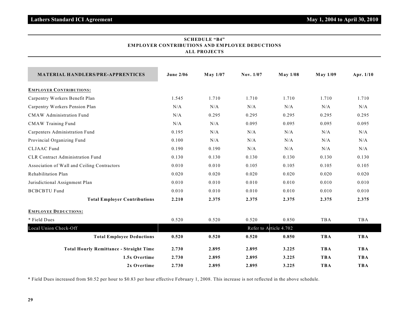| SCHEDULE "B4"                                         |  |  |  |  |  |  |
|-------------------------------------------------------|--|--|--|--|--|--|
| <b>EMPLOYER CONTRIBUTIONS AND EMPLOYEE DEDUCTIONS</b> |  |  |  |  |  |  |
| ALL PROJECTS                                          |  |  |  |  |  |  |

| <b>MATERIAL HANDLERS/PRE-APPRENTICES</b>       | <b>June 2/06</b>       | May 1/07 | Nov. 1/07 | <b>May 1/08</b> | <b>May 1/09</b> | Apr. 1/10  |  |  |  |  |
|------------------------------------------------|------------------------|----------|-----------|-----------------|-----------------|------------|--|--|--|--|
| <b>EMPLOYER CONTRIBUTIONS:</b>                 |                        |          |           |                 |                 |            |  |  |  |  |
| Carpentry Workers Benefit Plan                 | 1.545                  | 1.710    | 1.710     | 1.710           | 1.710           | 1.710      |  |  |  |  |
| Carpentry Workers Pension Plan                 | N/A                    | N/A      | N/A       | N/A             | N/A             | N/A        |  |  |  |  |
| CMAW Administration Fund                       | N/A                    | 0.295    | 0.295     | 0.295           | 0.295           | 0.295      |  |  |  |  |
| <b>CMAW Training Fund</b>                      | N/A                    | N/A      | 0.095     | 0.095           | 0.095           | 0.095      |  |  |  |  |
| Carpenters Administration Fund                 | 0.195                  | N/A      | N/A       | N/A             | N/A             | N/A        |  |  |  |  |
| Provincial Organizing Fund                     | 0.100                  | N/A      | N/A       | N/A             | N/A             | N/A        |  |  |  |  |
| <b>CLJAAC</b> Fund                             | 0.190                  | 0.190    | N/A       | N/A             | N/A             | N/A        |  |  |  |  |
| <b>CLR Contract Administration Fund</b>        | 0.130                  | 0.130    | 0.130     | 0.130           | 0.130           | 0.130      |  |  |  |  |
| Association of Wall and Ceiling Contractors    | 0.010                  | 0.010    | 0.105     | 0.105           | 0.105           | 0.105      |  |  |  |  |
| Rehabilitation Plan                            | 0.020                  | 0.020    | 0.020     | 0.020           | 0.020           | 0.020      |  |  |  |  |
| Jurisdictional Assignment Plan                 | 0.010                  | 0.010    | 0.010     | 0.010           | 0.010           | 0.010      |  |  |  |  |
| <b>BCBCBTU Fund</b>                            | 0.010                  | 0.010    | 0.010     | 0.010           | 0.010           | 0.010      |  |  |  |  |
| <b>Total Employer Contributions</b>            | 2.210                  | 2.375    | 2.375     | 2.375           | 2.375           | 2.375      |  |  |  |  |
| <b>EMPLOYEE DEDUCTIONS:</b>                    |                        |          |           |                 |                 |            |  |  |  |  |
| * Field Dues                                   | 0.520                  | 0.520    | 0.520     | 0.850           | TBA             | TBA        |  |  |  |  |
| Local Union Check-Off                          | Refer to Article 4.702 |          |           |                 |                 |            |  |  |  |  |
| <b>Total Employee Deductions</b>               | 0.520                  | 0.520    | 0.520     | 0.850           | <b>TBA</b>      | <b>TBA</b> |  |  |  |  |
| <b>Total Hourly Remittance - Straight Time</b> | 2.730                  | 2.895    | 2.895     | 3.225           | <b>TBA</b>      | <b>TBA</b> |  |  |  |  |
| 1.5x Overtime                                  | 2.730                  | 2.895    | 2.895     | 3.225           | <b>TBA</b>      | <b>TBA</b> |  |  |  |  |
| 2x Overtime                                    | 2.730                  | 2.895    | 2.895     | 3.225           | <b>TBA</b>      | <b>TBA</b> |  |  |  |  |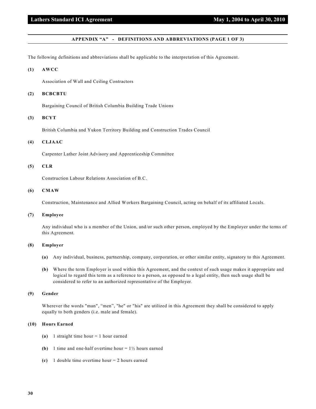### **APPENDIX "A" - DEFINITIONS AND ABBREVIATIONS (PAGE 1 OF 3)**

The following definitions and abbreviations shall be applicable to the interpretation of this Agreement.

#### **(1) AWCC**

Association of Wall and Ceiling Contractors

# **(2) BCBCBTU**

Bargaining Council of British Columbia Building Trade Unions

# **(3) BCYT**

British Columbia and Yukon Territory Building and Construction Trades Council

# **(4) CLJAAC**

Carpenter Lather Joint Advisory and Apprenticeship Committee

# **(5) CLR**

Construction Labour Relations Association of B.C.

# **(6) CMAW**

Construction, Maintenance and Allied Workers Bargaining Council, acting on behalf of its affiliated Locals.

#### **(7) Employee**

Any individual who is a member of the Union, and/or such other person, employed by the Employer under the terms of this Agreement.

#### **(8) Employer**

- **(a)** Any individual, business, partnership, company, corporation, or other similar entity, signatory to this Agreement.
- **(b)** Where the term Employer is used within this Agreement, and the context of such usage makes it appropriate and logical to regard this term as a reference to a person, as opposed to a legal entity, then such usage shall be considered to refer to an authorized representative of the Employer.

#### **(9) Gender**

Wherever the words "man", "men", "he" or "his" are utilized in this Agreement they shall be considered to apply equally to both genders (i.e. male and female).

# **(10) Hours Earned**

- **(a)** 1 straight time hour = 1 hour earned
- **(b)** 1 time and one-half overtime hour  $= 1\frac{1}{2}$  hours earned
- **(c)** 1 double time overtime hour = 2 hours earned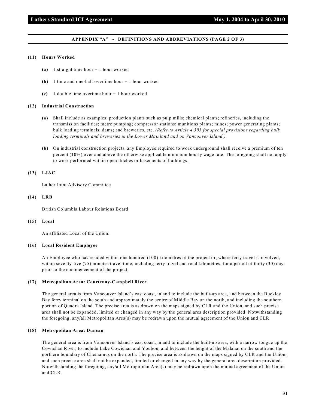# **Lathers Standard ICI Agreement May 1, 2004 to April 30, 2010**

## **APPENDIX "A" - DEFINITIONS AND ABBREVIATIONS (PAGE 2 OF 3)**

#### **(11) Hours Worked**

- **(a)** 1 straight time hour = 1 hour worked
- **(b)** 1 time and one-half overtime hour = 1 hour worked
- **(c)** 1 double time overtime hour = 1 hour worked

#### **(12) Industrial Construction**

- **(a)** Shall include as examples: production plants such as pulp mills; chemical plants; refineries, including the transmission facilities; metre pumping; compressor stations; munitions plants; mines; power generating plants; bulk loading terminals; dams; and breweries, etc. *(Refer to Article 4.303 for special provisions regarding bulk loading terminals and breweries in the Lower Mainland and on Vancouver Island.)*
- **(b)** On industrial construction projects, any Employee required to work underground shall receive a premium of ten percent (10%) over and above the otherwise applicable minimum hourly wage rate. The foregoing shall not apply to work performed within open ditches or basements of buildings.

#### **(13) LJAC**

Lather Joint Advisory Committee

#### **(14) LRB**

British Columbia Labour Relations Board

#### **(15) Local**

An affiliated Local of the Union.

#### **(16) Local Resident Employee**

An Employee who has resided within one hundred (100) kilometres of the project or, where ferry travel is involved, within seventy-five (75) minutes travel time, including ferry travel and road kilometres, for a period of thirty (30) days prior to the commencement of the project.

#### **(17) Metropolitan Area: Courtenay-Campbell River**

The general area is from Vancouver Island's east coast, inland to include the built-up area, and between the Buckley Bay ferry terminal on the south and approximately the centre of Middle Bay on the north, and including the southern portion of Quadra Island. The precise area is as drawn on the maps signed by CLR and the Union, and such precise area shall not be expanded, limited or changed in any way by the general area description provided. Notwithstanding the foregoing, any/all Metropolitan Area(s) may be redrawn upon the mutual agreement of the Union and CLR.

#### **(18) Metropolitan Area: Duncan**

The general area is from Vancouver Island's east coast, inland to include the built-up area, with a narrow tongue up the Cowichan River, to include Lake Cowichan and Youbou, and between the height of the Malahat on the south and the northern boundary of Chemainus on the north. The precise area is as drawn on the maps signed by CLR and the Union, and such precise area shall not be expanded, limited or changed in any way by the general area description provided. Notwithstanding the foregoing, any/all Metropolitan Area(s) may be redrawn upon the mutual agreement of the Union and CLR.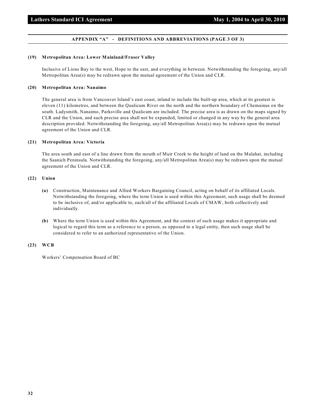# **APPENDIX "A" - DEFINITIONS AND ABBREVIATIONS (PAGE 3 OF 3)**

#### **(19) Metropolitan Area: Lower Mainland/Fraser Valley**

Inclusive of Lions Bay to the west, Hope to the east, and everything in between. Notwithstanding the foregoing, any/all Metropolitan Area(s) may be redrawn upon the mutual agreement of the Union and CLR.

# **(20) Metropolitan Area: Nanaimo**

The general area is from Vancouver Island's east coast, inland to include the built-up area, which at its greatest is eleven (11) kilometres, and between the Qualicum River on the north and the northern boundary of Chemainus on the south. Ladysmith, Nanaimo, Parksville and Qualicum are included. The precise area is as drawn on the maps signed by CLR and the Union, and such precise area shall not be expanded, limited or changed in any way by the general area description provided. Notwithstanding the foregoing, any/all Metropolitan Area(s) may be redrawn upon the mutual agreement of the Union and CLR.

#### **(21) Metropolitan Area: Victoria**

The area south and east of a line drawn from the mouth of Muir Creek to the height of land on the Malahat, including the Saanich Peninsula. Notwithstanding the foregoing, any/all Metropolitan Area(s) may be redrawn upon the mutual agreement of the Union and CLR.

#### **(22) Union**

- **(a)** Construction, Maintenance and Allied Workers Bargaining Council, acting on behalf of its affiliated Locals. Notwithstanding the foregoing, where the term Union is used within this Agreement, such usage shall be deemed to be inclusive of, and/or applicable to, each/all of the affiliated Locals of CMAW, both collectively and individually.
- **(b)** Where the term Union is used within this Agreement, and the context of such usage makes it appropriate and logical to regard this term as a reference to a person, as opposed to a legal entity, then such usage shall be considered to refer to an authorized representative of the Union.

#### **(23) WCB**

Workers' Compensation Board of BC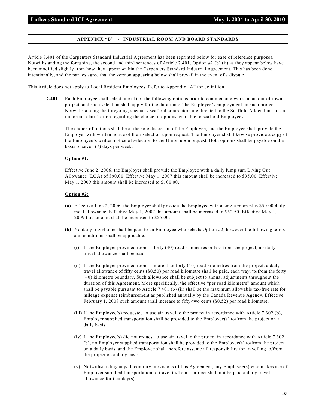# **APPENDIX "B" - INDUSTRIAL ROOM AND BOARD STANDARDS**

Article 7.401 of the Carpenters Standard Industrial Agreement has been reprinted below for ease of reference purposes. Notwithstanding the foregoing, the second and third sentences of Article 7.401, Option #2 (b) (ii) as they appear below have been modified slightly from how they appear within the Carpenters Standard Industrial Agreement. This has been done intentionally, and the parties agree that the version appearing below shall prevail in the event of a dispute.

This Article does not apply to Local Resident Employees. Refer to Appendix "A" for definition.

**7.401** Each Employee shall select one (1) of the following options prior to commencing work on an out-of-town project, and such selection shall apply for the duration of the Employee's employment on such project. Notwithstanding the foregoing, specialty scaffold contractors are directed to the Scaffold Addendum for an important clarification regarding the choice of options available to scaffold Employees.

The choice of options shall be at the sole discretion of the Employee, and the Employee shall provide the Employer with written notice of their selection upon request. The Employer shall likewise provide a copy of the Employee's written notice of selection to the Union upon request. Both options shall be payable on the basis of seven (7) days per week.

# **Option #1:**

Effective June 2, 2006, the Employer shall provide the Employee with a daily lump sum Living Out Allowance (LOA) of \$90.00. Effective May 1, 2007 this amount shall be increased to \$95.00. Effective May 1, 2009 this amount shall be increased to \$100.00.

#### **Option #2:**

- **(a)** Effective June 2, 2006, the Employer shall provide the Employee with a single room plus \$50.00 daily meal allowance. Effective May 1, 2007 this amount shall be increased to \$52.50. Effective May 1, 2009 this amount shall be increased to \$55.00.
- **(b)** No daily travel time shall be paid to an Employee who selects Option #2, however the following terms and conditions shall be applicable.
	- **(i)** If the Employer provided room is forty (40) road kilometres or less from the project, no daily travel allowance shall be paid.
	- **(ii)** If the Employer provided room is more than forty (40) road kilometres from the project, a daily travel allowance of fifty cents (\$0.50) per road kilometre shall be paid, each way, to/from the forty (40) kilometre boundary. Such allowance shall be subject to annual adjustments throughout the duration of this Agreement. More specifically, the effective "per road kilometre" amount which shall be payable pursuant to Article 7.401 (b) (ii) shall be the maximum allowable tax-free rate for mileage expense reimbursement as published annually by the Canada Revenue Agency. Effective February 1, 2008 such amount shall increase to fifty-two cents (\$0.52) per road kilometre.
	- **(iii)** If the Employee(s) requested to use air travel to the project in accordance with Article 7.302 (b), Employer supplied transportation shall be provided to the  $Employee(s)$  to/from the project on a daily basis.
	- **(iv)** If the Employee(s) did not request to use air travel to the project in accordance with Article 7.302 (b), no Employer supplied transportation shall be provided to the Employee(s) to/from the project on a daily basis, and the Employee shall therefore assume all responsibility for travelling to/from the project on a daily basis.
	- **(v)** Notwithstanding any/all contrary provisions of this Agreement, any Employee(s) who makes use of Employer supplied transportation to travel to/from a project shall not be paid a daily travel allowance for that day(s).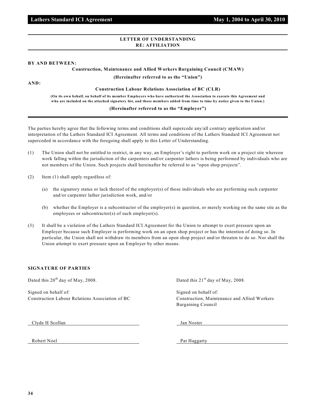# **LETTER OF UNDERSTANDING RE: AFFILIATION**

# **BY AND BETWEEN:**

# **Construction, Maintenance and Allied Workers Bargaining Council (CMAW)**

**(Hereinafter referred to as the "Union")**

**AND:**

**Construction Labour Relations Association of BC (CLR)**

**(On its own behalf, on behalf of its member Employers who have authorized the Association to execute this Agreement and who are included on the attached signatory list, and those members added from time to time by notice given to the Union.)**

# **(Hereinafter referred to as the "Employer")**

The parties hereby agree that the following terms and conditions shall supercede any/all contrary application and/or interpretation of the Lathers Standard ICI Agreement. All terms and conditions of the Lathers Standard ICI Agreement not superceded in accordance with the foregoing shall apply to this Letter of Understanding.

- (1) The Union shall not be entitled to restrict, in any way, an Employer's right to perform work on a project site whereon work falling within the jurisdiction of the carpenters and/or carpenter lathers is being performed by individuals who are not members of the Union. Such projects shall hereinafter be referred to as "open shop projects".
- (2) Item (1) shall apply regardless of:
	- (a) the signatory status or lack thereof of the employer(s) of those individuals who are performing such carpenter and/or carpenter lather jurisdiction work, and/or
	- (b) whether the Employer is a subcontractor of the employer(s) in question, or merely working on the same site as the employees or subcontractor(s) of such employer(s).
- (3) It shall be a violation of the Lathers Standard ICI Agreement for the Union to attempt to exert pressure upon an Employer because such Employer is performing work on an open shop project or has the intention of doing so. In particular, the Union shall not withdraw its members from an open shop project and/or threaten to do so. Nor shall the Union attempt to exert pressure upon an Employer by other means.

# **SIGNATURE OF PARTIES**

Dated this  $20<sup>th</sup>$  day of May, 2008. Dated this  $21<sup>st</sup>$  day of May, 2008.

Signed on behalf of: Signed on behalf of: Signed on behalf of: Construction Labour Relations Association of BC Construction, Maintenance and Allied Workers

Bargaining Council

Clyde H Scollan Jan Noster

Robert Noel Pat Haggarty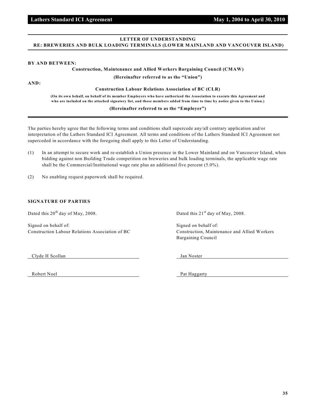# **LETTER OF UNDERSTANDING RE: BREWERIES AND BULK LOADING TERMINALS (LOWER MAINLAND AND VANCOUVER ISLAND)**

# **BY AND BETWEEN:**

# **Construction, Maintenance and Allied Workers Bargaining Council (CMAW)**

**(Hereinafter referred to as the "Union")**

**AND:**

**Construction Labour Relations Association of BC (CLR)**

**(On its own behalf, on behalf of its member Employers who have authorized the Association to execute this Agreement and who are included on the attached signatory list, and those members added from time to time by notice given to the Union.)**

# **(Hereinafter referred to as the "Employer")**

The parties hereby agree that the following terms and conditions shall supercede any/all contrary application and/or interpretation of the Lathers Standard ICI Agreement. All terms and conditions of the Lathers Standard ICI Agreement not superceded in accordance with the foregoing shall apply to this Letter of Understanding.

- (1) In an attempt to secure work and re-establish a Union presence in the Lower Mainland and on Vancouver Island, when bidding against non Building Trade competition on breweries and bulk loading terminals, the applicable wage rate shall be the Commercial/Institutional wage rate plus an additional five percent (5.0%).
- (2) No enabling request paperwork shall be required.

# **SIGNATURE OF PARTIES**

Dated this  $20^{th}$  day of May, 2008. Dated this  $21^{st}$  day of May, 2008.

Signed on behalf of: Signed on behalf of: Signed on behalf of: Construction Labour Relations Association of BC Construction, Maintenance and Allied Workers

Bargaining Council

Clyde H Scollan Jan Noster

Robert Noel Pat Haggarty

 **Lathers Standard ICI Agreement May 1, 2004 to April 30, 2010**